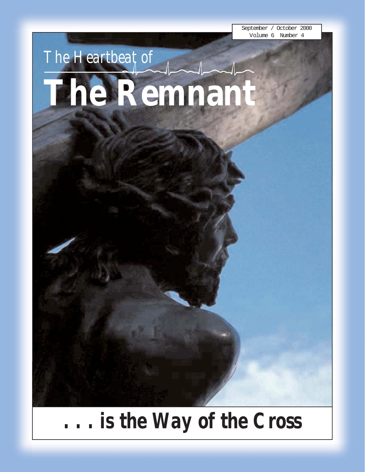September / October 2000 Volume 6 Number 4

# *The Heartbeat of* **The Remnant**

*. . . is the Way of the Cross*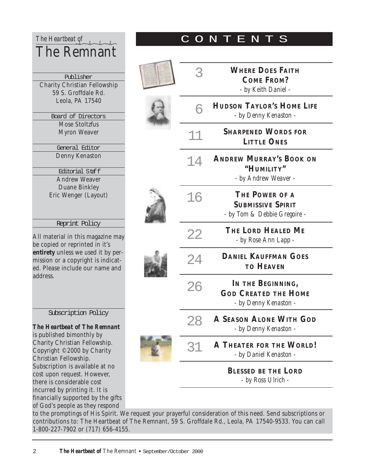| The Heartbeat of                    |  |  |  |
|-------------------------------------|--|--|--|
| <b>The Remnant</b>                  |  |  |  |
|                                     |  |  |  |
|                                     |  |  |  |
| Publisher                           |  |  |  |
| <b>Charity Christian Fellowship</b> |  |  |  |
| 59 S. Groffdale Rd.                 |  |  |  |
| Leola, PA 17540                     |  |  |  |
|                                     |  |  |  |
| Board of Directors                  |  |  |  |
| <b>Mose Stoltzfus</b>               |  |  |  |
| <b>Myron Weaver</b>                 |  |  |  |
|                                     |  |  |  |
| General Editor                      |  |  |  |
| Denny Kenaston                      |  |  |  |
|                                     |  |  |  |
| <b>Editorial Staff</b>              |  |  |  |
| <b>Andrew Weaver</b>                |  |  |  |
| <b>Duane Binkley</b>                |  |  |  |
| Eric Wenger (Layout)                |  |  |  |
|                                     |  |  |  |
|                                     |  |  |  |
| Reprint Policy                      |  |  |  |
|                                     |  |  |  |
| All material in this magazine may   |  |  |  |
| he conied or reprinted in it's      |  |  |  |

copied or reprinted in **entirety** unless we used it by permission or a copyright is indicated. Please include our name and address.

#### Subscription Policy

*The Heartbeat of The Remnant* is published bimonthly by Charity Christian Fellowship. Copyright ©2000 by Charity Christian Fellowship. Subscription is available at no cost upon request. However, there is considerable cost incurred by printing it. It is financially supported by the gifts of God's people as they respond

| 3  | <b>WHERE DOES FAITH</b><br><b>COME FROM?</b><br>- by Keith Daniel -        |
|----|----------------------------------------------------------------------------|
| 6  | <b>HUDSON TAYLOR'S HOME LIFE</b><br>- by Denny Kenaston -                  |
| 11 | <b>SHARPENED WORDS FOR</b><br><b>LITTLE ONES</b>                           |
| 14 | <b>ANDREW MURRAY'S BOOK ON</b><br>"HUMILITY"<br>- by Andrew Weaver -       |
| 16 | THE POWER OF A<br><b>SUBMISSIVE SPIRIT</b><br>- by Tom & Debbie Gregoire - |
| 22 | THE LORD HEALED ME<br>- by Rose Ann Lapp -                                 |
| 24 | <b>DANIEL KAUFFMAN GOES</b><br><b>TO HEAVEN</b>                            |
| 26 | IN THE BEGINNING,<br><b>GOD CREATED THE HOME</b><br>- by Denny Kenaston -  |
|    | A SEASON ALONE WITH GOD<br>- by Denny Kenaston -                           |
| 31 | <b>A THEATER FOR THE WORLD!</b><br>- by Daniel Kenaston -                  |
|    | <b>BLESSED BE THE LORD</b><br>- by Ross Ulrich -                           |
|    |                                                                            |

CONTENTS

to the promptings of His Spirit. We request your prayerful consideration of this need. Send subscriptions or contributions to: The Heartbeat of The Remnant, 59 S. Groffdale Rd., Leola, PA 17540-9533. You can call 1-800-227-7902 or (717) 656-4155.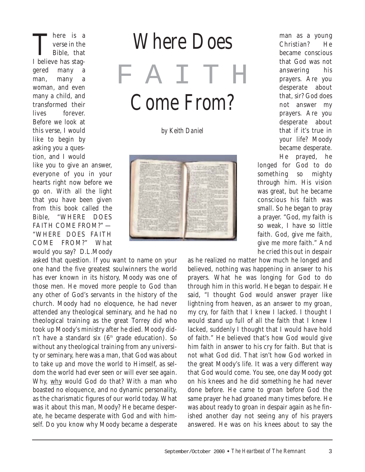There is a<br>
verse in the<br>
Bible, that verse in the I believe has staggered many man, many a woman, and even many a child, and transformed their lives forever. Before we look at this verse, I would like to begin by asking you a question, and I would

like you to give an answer, everyone of you in your hearts right now before we go on. With all the light that you have been given from this book called the Bible, "WHERE DOES FAITH COME FROM?" — "WHERE DOES FAITH COME FROM?" What would you say? D.L.Moody

asked that question. If you want to name on your one hand the five greatest soulwinners the world has ever known in its history, Moody was one of those men. He moved more people to God than any other of God's servants in the history of the church. Moody had no eloquence, he had never attended any theological seminary, and he had no theological training as the great Torrey did who took up Moody's ministry after he died. Moody didn't have a standard six  $(6<sup>th</sup>$  grade education). So without any theological training from any university or seminary, here was a man, that God was about to take up and move the world to Himself, as seldom the world had ever seen or will ever see again. Why, why would God do that? With a man who boasted no eloquence, and no dynamic personality, as the charismatic figures of our world today. What was it about this man, Moody? He became desperate, he became desperate with God and with himself. Do you know why Moody became a desperate

*Where Does*

FAITH *Come From?*

*by Keith Daniel*



man as a young Christian? He became conscious that God was not answering his prayers. Are you desperate about that, sir? God does not answer my prayers. Are you desperate about that if it's true in your life? Moody became desperate. He prayed, he

longed for God to do something so mighty through him. His vision was great, but he became conscious his faith was small. So he began to pray a prayer. "God, my faith is so weak, I have so little faith. God, give me faith, give me more faith." And he cried this out in despair

as he realized no matter how much he longed and believed, nothing was happening in answer to his prayers. What he was longing for God to do through him in this world. He began to despair. He said, "I thought God would answer prayer like lightning from heaven, as an answer to my groan, my cry, for faith that I knew I lacked. I thought I would stand up full of all the faith that I knew I lacked, suddenly I thought that I would have hold of faith." He believed that's how God would give him faith in answer to his cry for faith. But that is not what God did. That isn't how God worked in the great Moody's life. It was a very different way that God would come. You see, one day Moody got on his knees and he did something he had never done before. He came to groan before God the same prayer he had groaned many times before. He was about ready to groan in despair again as he finished another day not seeing any of his prayers answered. He was on his knees about to say the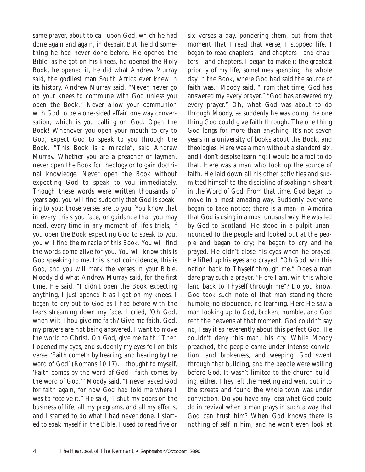same prayer, about to call upon God, which he had done again and again, in despair. But, he did something he had never done before. He opened the Bible, as he got on his knees, he opened the Holy Book, he opened it, he did what Andrew Murray said, the godliest man South Africa ever knew in its history. Andrew Murray said, "Never, never go on your knees to commune with God unless you open the Book." Never allow your communion with God to be a one-sided affair, one way conversation, which is you calling on God. Open the Book! Whenever you open your mouth to cry to God, expect God to speak to you through the Book. "This Book is a miracle", said Andrew Murray. Whether you are a preacher or layman, never open the Book for theology or to gain doctrinal knowledge. Never open the Book without expecting God to speak to you immediately. Though these words were written thousands of years ago, you will find suddenly that God is speaking to you; those verses are to you. You know that in every crisis you face, or guidance that you may need, every time in any moment of life's trials, if you open the Book expecting God to speak to you, you will find the miracle of this Book. You will find the words come alive for you. You will know this is God speaking to me, this is not coincidence, this is God, and you will mark the verses in your Bible. Moody did what Andrew Murray said, for the first time. He said, "I didn't open the Book expecting anything, I just opened it as I got on my knees. I began to cry out to God as I had before with the tears streaming down my face. I cried, 'Oh God, when wilt Thou give me faith? Give me faith, God, my prayers are not being answered, I want to move the world to Christ. Oh God, give me faith.' Then I opened my eyes, and suddenly my eyes fell on this verse, 'Faith cometh by hearing, and hearing by the word of God' (Romans 10:17). I thought to myself, 'Faith comes by the word of God—faith comes by the word of God.'" Moody said, "I never asked God for faith again, for now God had told me where I was to receive it." He said, "I shut my doors on the business of life, all my programs, and all my efforts, and I started to do what I had never done. I started to soak myself in the Bible. I used to read five or

six verses a day, pondering them, but from that moment that I read that verse, I stopped life. I began to read chapters—and chapters—and chapters—and chapters. I began to make it the greatest priority of my life, sometimes spending the whole day in the Book, where God had said the source of faith was." Moody said, "From that time, God has answered my every prayer." "God has answered my every prayer." Oh, what God was about to do through Moody, as suddenly he was doing the one thing God could give faith through. The one thing God longs for more than anything. It's not seven years in a university of books about the Book, and theologies. Here was a man without a standard six, and I don't despise learning; I would be a fool to do that. Here was a man who took up the source of faith. He laid down all his other activities and submitted himself to the discipline of soaking his heart in the Word of God. From that time, God began to move in a most amazing way. Suddenly everyone began to take notice; there is a man in America that God is using in a most unusual way. He was led by God to Scotland. He stood in a pulpit unannounced to the people and looked out at the people and began to cry; he began to cry and he prayed. He didn't close his eyes when he prayed. He lifted up his eyes and prayed, "Oh God, win this nation back to Thyself through me." Does a man dare pray such a prayer, "Here I am, win this whole land back to Thyself through me"? Do you know, God took such note of that man standing there humble, no eloquence, no learning. Here He saw a man looking up to God, broken, humble, and God rent the heavens at that moment. God couldn't say no, I say it so reverently about this perfect God. He couldn't deny this man, his cry. While Moody preached, the people came under intense conviction, and brokeness, and weeping. God swept through that building, and the people were wailing before God. It wasn't limited to the church building, either. They left the meeting and went out into the streets and found the whole town was under conviction. Do you have any idea what God could do in revival when a man prays in such a way that God can trust him? When God knows there is nothing of self in him, and he won't even look at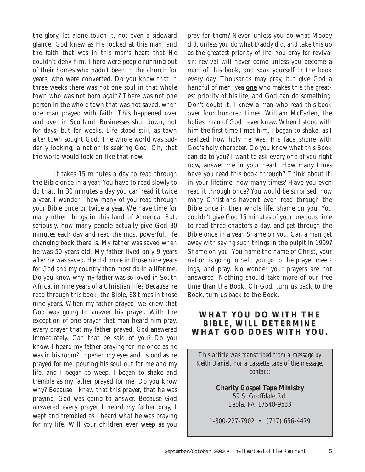the glory, let alone touch it, not even a sideward glance. God knew as He looked at this man, and the faith that was in this man's heart that He couldn't deny him. There were people running out of their homes who hadn't been in the church for years, who were converted. Do you know that in three weeks there was not one soul in that whole town who was not born again? There was not one person in the whole town that was not saved, when one man prayed with faith. This happened over and over in Scotland. Businesses shut down, not for days, but for weeks. Life stood still, as town after town sought God. The whole world was suddenly looking; a nation is seeking God. Oh, that the world would look on like that now.

It takes 15 minutes a day to read through the Bible once in a year. You have to read slowly to do that. In 30 minutes a day you can read it twice a year. I wonder—how many of you read through your Bible once or twice a year. We have time for many other things in this land of America. But, seriously, how many people actually give God 30 minutes each day and read the most powerful, life changing book there is. My father was saved when he was 50 years old. My father lived only 9 years after he was saved. He did more in those nine years for God and my country than most do in a lifetime. Do you know why my father was so loved in South Africa, in nine years of a Christian life? Because he read through this book, the Bible, 68 times in those nine years. When my father prayed, we knew that God was going to answer his prayer. With the exception of one prayer that man heard him pray, every prayer that my father prayed, God answered immediately. Can that be said of you? Do you know, I heard my father praying for me once as he was in his room? I opened my eyes and I stood as he prayed for me, pouring his soul out for me and my life, and I began to weep, I began to shake and tremble as my father prayed for me. Do you know why? Because I knew that this prayer, that he was praying, God was going to answer. Because God answered every prayer I heard my father pray, I wept and trembled as I heard what he was praying for my life. Will your children ever weep as you

pray for them? Never, unless you do what Moody did, unless you do what Daddy did, and take this up as the greatest priority of life. You pray for revival sir; revival will never come unless you become a man of this book, and soak yourself in the book every day. Thousands may pray, but give God a handful of men, yea **one** who makes this the greatest priority of his life, and God can do something. Don't doubt it. I knew a man who read this book over four hundred times. William McFarlen, the holiest man of God I ever knew. When I stood with him the first time I met him, I began to shake, as I realized how holy he was. His face shone with God's holy character. Do you know what this Book can do to you? I want to ask every one of you right now, answer me in your heart. How many times have you read this book through? Think about it, in your lifetime, how many times? Have you even read it through once? You would be surprised, how many Christians haven't even read through the Bible once in their whole life, shame on you. You couldn't give God 15 minutes of your precious time to read three chapters a day, and get through the Bible once in a year. Shame on you. Can a man get away with saying such things in the pulpit in 1999? Shame on you. You name the name of Christ, your nation is going to hell, you go to the prayer meetings, and pray. No wonder your prayers are not answered. Nothing should take more of our free time than the Book. Oh God, turn us back to the Book, turn us back to the Book.

#### **WHAT YOU DO WITH THE OU DO WITH THE BIBLE, WILL DETERMINE BIBLE, WILL DETERMINE WHAT GOD DOES WITH YOU.**

*This article was transcribed from a message by Keith Daniel. For a cassette tape of the message, contact:*

> **Charity Gospel Tape Ministry** 59 S. Groffdale Rd. Leola, PA 17540-9533

1-800-227-7902 • (717) 656-4479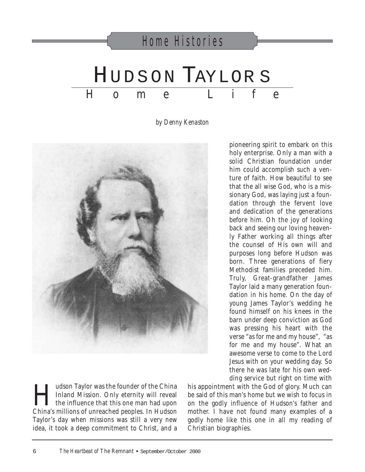## HUDSON TAYLOR S  $H$  o m e L i f Home Histories

*by Denny Kenaston*



pioneering spirit to embark on this holy enterprise. Only a man with a solid Christian foundation under him could accomplish such a venture of faith. How beautiful to see that the all wise God, who is a missionary God, was laying just a foundation through the fervent love and dedication of the generations before him. Oh the joy of looking back and seeing our loving heavenly Father working all things after the counsel of His own will and purposes long before Hudson was born. Three generations of fiery Methodist families preceded him. Truly, Great-grandfather James Taylor laid a many generation foundation in his home. On the day of young James Taylor's wedding he found himself on his knees in the barn under deep conviction as God was pressing his heart with the verse "as for me and my house", "as for me and my house". What an awesome verse to come to the Lord Jesus with on your wedding day. So there he was late for his own wedding service but right on time with

I Judson Taylor was the founder of the China<br>Inland Mission. Only eternity will reveal<br>the influence that this one man had upon<br>China's millions of unreached peoples. In Hudson Inland Mission. Only eternity will reveal L the influence that this one man had upon China's millions of unreached peoples. In Hudson Taylor's day when missions was still a very new idea, it took a deep commitment to Christ, and a his appointment with the God of glory. Much can be said of this man's home but we wish to focus in on the godly influence of Hudson's father and mother. I have not found many examples of a godly home like this one in all my reading of Christian biographies.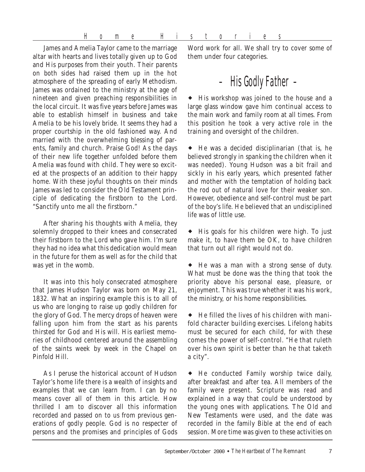James and Amelia Taylor came to the marriage altar with hearts and lives totally given up to God and His purposes from their youth. Their parents on both sides had raised them up in the hot atmosphere of the spreading of early Methodism. James was ordained to the ministry at the age of nineteen and given preaching responsibilities in the local circuit. It was five years before James was able to establish himself in business and take Amelia to be his lovely bride. It seems they had a proper courtship in the old fashioned way. And married with the overwhelming blessing of parents, family and church. Praise God! As the days of their new life together unfolded before them Amelia was found with child. They were so excited at the prospects of an addition to their happy home. With these joyful thoughts on their minds James was led to consider the Old Testament principle of dedicating the firstborn to the Lord. "Sanctify unto me all the firstborn."

After sharing his thoughts with Amelia, they solemnly dropped to their knees and consecrated their firstborn to the Lord who gave him. I'm sure they had no idea what this dedication would mean in the future for them as well as for the child that was yet in the womb.

It was into this holy consecrated atmosphere that James Hudson Taylor was born on May 21, 1832. What an inspiring example this is to all of us who are longing to raise up godly children for the glory of God. The mercy drops of heaven were falling upon him from the start as his parents thirsted for God and His will. His earliest memories of childhood centered around the assembling of the saints week by week in the Chapel on Pinfold Hill.

As I peruse the historical account of Hudson Taylor's home life there is a wealth of insights and examples that we can learn from. I can by no means cover all of them in this article. How thrilled I am to discover all this information recorded and passed on to us from previous generations of godly people. God is no respecter of persons and the promises and principles of Gods Word work for all. We shall try to cover some of them under four categories.

### – His Godly Father –

! His workshop was joined to the house and a large glass window gave him continual access to the main work and family room at all times. From this position he took a very active role in the training and oversight of the children.

 $\bullet$  He was a decided disciplinarian (that is, he believed strongly in spanking the children when it was needed). Young Hudson was a bit frail and sickly in his early years, which presented father and mother with the temptation of holding back the rod out of natural love for their weaker son. However, obedience and self-control must be part of the boy's life. He believed that an undisciplined life was of little use.

• His goals for his children were high. To just make it, to have them be OK, to have children that turn out all right would not do.

! He was a man with a strong sense of duty. What must be done was the thing that took the priority above his personal ease, pleasure, or enjoyment. This was true whether it was his work, the ministry, or his home responsibilities.

 $\blacklozenge$  He filled the lives of his children with manifold character building exercises. Lifelong habits must be secured for each child, for with these comes the power of self-control. "He that ruleth over his own spirit is better than he that taketh a city".

! He conducted Family worship twice daily, after breakfast and after tea. All members of the family were present. Scripture was read and explained in a way that could be understood by the young ones with applications. The Old and New Testaments were used, and the date was recorded in the family Bible at the end of each session. More time was given to these activities on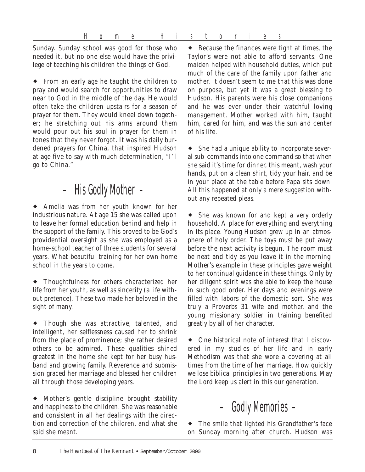Home Histories

Sunday. Sunday school was good for those who needed it, but no one else would have the privilege of teaching his children the things of God.

! From an early age he taught the children to pray and would search for opportunities to draw near to God in the middle of the day. He would often take the children upstairs for a season of prayer for them. They would kneel down together; he stretching out his arms around them would pour out his soul in prayer for them in tones that they never forgot. It was his daily burdened prayers for China, that inspired Hudson at age five to say with much determination, "I'll go to China."

### – His Godly Mother –

! Amelia was from her youth known for her industrious nature. At age 15 she was called upon to leave her formal education behind and help in the support of the family. This proved to be God's providential oversight as she was employed as a home-school teacher of three students for several years. What beautiful training for her own home school in the years to come.

! Thoughtfulness for others characterized her life from her youth, as well as sincerity (a life without pretence). These two made her beloved in the sight of many.

• Though she was attractive, talented, and intelligent, her selflessness caused her to shrink from the place of prominence; she rather desired others to be admired. These qualities shined greatest in the home she kept for her busy husband and growing family. Reverence and submission graced her marriage and blessed her children all through those developing years.

• Mother's gentle discipline brought stability and happiness to the children. She was reasonable and consistent in all her dealings with the direction and correction of the children, and what she said she meant.

 $\bullet$  Because the finances were tight at times, the Taylor's were not able to afford servants. One maiden helped with household duties, which put much of the care of the family upon father and mother. It doesn't seem to me that this was done on purpose, but yet it was a great blessing to Hudson. His parents were his close companions and he was ever under their watchful loving management. Mother worked with him, taught him, cared for him, and was the sun and center of his life.

• She had a unique ability to incorporate several sub-commands into one command so that when she said it's time for dinner, this meant, wash your hands, put on a clean shirt, tidy your hair, and be in your place at the table before Papa sits down. All this happened at only a mere suggestion without any repeated pleas.

• She was known for and kept a very orderly household. A place for everything and everything in its place. Young Hudson grew up in an atmosphere of holy order. The toys must be put away before the next activity is begun. The room must be neat and tidy as you leave it in the morning. Mother's example in these principles gave weight to her continual guidance in these things. Only by her diligent spirit was she able to keep the house in such good order. Her days and evenings were filled with labors of the domestic sort. She was truly a Proverbs 31 wife and mother, and the young missionary soldier in training benefited greatly by all of her character.

• One historical note of interest that I discovered in my studies of her life and in early Methodism was that she wore a covering at all times from the time of her marriage. How quickly we lose biblical principles in two generations. May the Lord keep us alert in this our generation.



! The smile that lighted his Grandfather's face on Sunday morning after church. Hudson was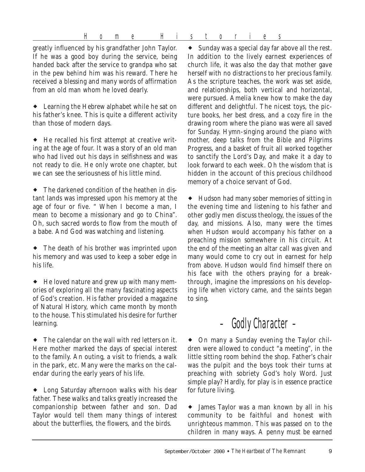Home Histories

greatly influenced by his grandfather John Taylor. If he was a good boy during the service, being handed back after the service to grandpa who sat in the pew behind him was his reward. There he received a blessing and many words of affirmation from an old man whom he loved dearly.

• Learning the Hebrew alphabet while he sat on his father's knee. This is quite a different activity than those of modern days.

! He recalled his first attempt at creative writing at the age of four. It was a story of an old man who had lived out his days in selfishness and was not ready to die. He only wrote one chapter, but we can see the seriousness of his little mind.

! The darkened condition of the heathen in distant lands was impressed upon his memory at the age of four or five. " When I become a man, I mean to become a missionary and go to China". Oh, such sacred words to flow from the mouth of a babe. And God was watching and listening.

• The death of his brother was imprinted upon his memory and was used to keep a sober edge in his life.

! He loved nature and grew up with many memories of exploring all the many fascinating aspects of God's creation. His father provided a magazine of Natural History, which came month by month to the house. This stimulated his desire for further learning.

 $\bullet$  The calendar on the wall with red letters on it. Here mother marked the days of special interest to the family. An outing, a visit to friends, a walk in the park, etc. Many were the marks on the calendar during the early years of his life.

! Long Saturday afternoon walks with his dear father. These walks and talks greatly increased the companionship between father and son. Dad Taylor would tell them many things of interest about the butterflies, the flowers, and the birds.

! Sunday was a special day far above all the rest. In addition to the lively earnest experiences of church life, it was also the day that mother gave herself with no distractions to her precious family. As the scripture teaches, the work was set aside, and relationships, both vertical and horizontal, were pursued. Amelia knew how to make the day different and delightful. The nicest toys, the picture books, her best dress, and a cozy fire in the drawing room where the piano was were all saved for Sunday. Hymn-singing around the piano with mother, deep talks from the Bible and Pilgrims Progress, and a basket of fruit all worked together to sanctify the Lord's Day, and make it a day to look forward to each week. Oh the wisdom that is hidden in the account of this precious childhood memory of a choice servant of God.

! Hudson had many sober memories of sitting in the evening time and listening to his father and other godly men discuss theology, the issues of the day, and missions. Also, many were the times when Hudson would accompany his father on a preaching mission somewhere in his circuit. At the end of the meeting an altar call was given and many would come to cry out in earnest for help from above. Hudson would find himself there on his face with the others praying for a breakthrough, imagine the impressions on his developing life when victory came, and the saints began to sing.

### – Godly Character –

! On many a Sunday evening the Taylor children were allowed to conduct "a meeting", in the little sitting room behind the shop. Father's chair was the pulpit and the boys took their turns at preaching with sobriety God's holy Word. Just simple play? Hardly, for play is in essence practice for future living.

! James Taylor was a man known by all in his community to be faithful and honest with unrighteous mammon. This was passed on to the children in many ways. A penny must be earned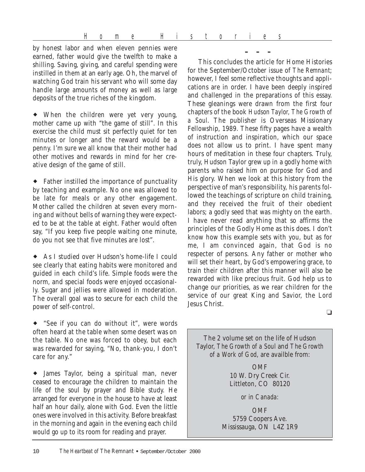by honest labor and when eleven pennies were earned, father would give the twelfth to make a shilling. Saving, giving, and careful spending were instilled in them at an early age. Oh, the marvel of watching God train his servant who will some day handle large amounts of money as well as large deposits of the true riches of the kingdom.

! When the children were yet very young, mother came up with "the game of still". In this exercise the child must sit perfectly quiet for ten minutes or longer and the reward would be a penny. I'm sure we all know that their mother had other motives and rewards in mind for her creative design of the game of still.

! Father instilled the importance of punctuality by teaching and example. No one was allowed to be late for meals or any other engagement. Mother called the children at seven every morning and without bells of warning they were expected to be at the table at eight. Father would often say, "If you keep five people waiting one minute, do you not see that five minutes are lost".

! As I studied over Hudson's home-life I could see clearly that eating habits were monitored and guided in each child's life. Simple foods were the norm, and special foods were enjoyed occasionally. Sugar and jellies were allowed in moderation. The overall goal was to secure for each child the power of self-control.

! "See if you can do without it", were words often heard at the table when some desert was on the table. No one was forced to obey, but each was rewarded for saying, "No, thank-you, I don't care for any."

! James Taylor, being a spiritual man, never ceased to encourage the children to maintain the life of the soul by prayer and Bible study. He arranged for everyone in the house to have at least half an hour daily, alone with God. Even the little ones were involved in this activity. Before breakfast in the morning and again in the evening each child would go up to its room for reading and prayer.

This concludes the article for Home Histories for the September/October issue of *The Remnant*; however, I feel some reflective thoughts and applications are in order. I have been deeply inspired and challenged in the preparations of this essay. These gleanings were drawn from the first four chapters of the book *Hudson Taylor, The Growth of a Soul*. The publisher is Overseas Missionary Fellowship, 1989. These fifty pages have a wealth of instruction and inspiration, which our space does not allow us to print. I have spent many hours of meditation in these four chapters. Truly, truly, Hudson Taylor grew up in a godly home with parents who raised him on purpose for God and His glory. When we look at this history from the perspective of man's responsibility, his parents followed the teachings of scripture on child training, and they received the fruit of their obedient labors; a godly seed that was mighty on the earth. I have never read anything that so affirms the principles of the Godly Home as this does. I don't know how this example sets with you, but as for me, I am convinced again, that God is no respecter of persons. Any father or mother who will set their heart, by God's empowering grace, to train their children after this manner will also be rewarded with like precious fruit. God help us to change our priorities, as we rear children for the service of our great King and Savior, the Lord Jesus Christ.

– – –

❏

The 2 volume set on the life of Hudson Taylor, *The Growth of a Soul* and *The Growth of a Work of God*, are availble from:

> **OMF** 10 W. Dry Creek Cir. Littleton, CO 80120

> > *or in Canada:*

OMF 5759 Coopers Ave. Mississauga, ON L4Z 1R9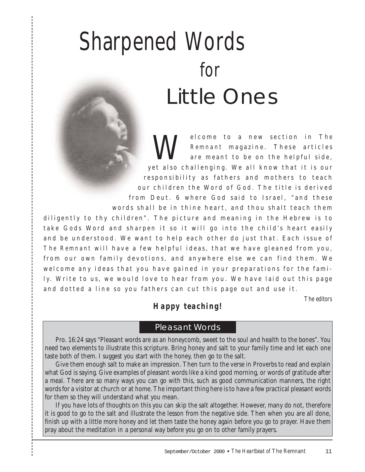## Sharpened Words for Little Ones

Welcome to a new section in *The*<br>Remnant magazine. These articles<br>are meant to be on the helpful side, *Remnant* magazine. These articles are meant to be on the helpful side, yet also challenging. We all know that it is our responsibility as fathers and mothers to teach our children the Word of God. The title is derived from Deut. 6 where God said to Israel, "and these words shall be in thine heart, and thou shalt teach them diligently to thy children". The picture and meaning in the Hebrew is to take Gods Word and sharpen it so it will go into the child's heart easily and be understood. We want to help each other do just that. Each issue of *The Remnant* will have a few helpful ideas, that we have gleaned from you, from our own family devotions, and anywhere else we can find them. We welcome any ideas that you have gained in your preparations for the family. Write to us, we would love to hear from you. We have laid out this page and dotted a line so you fathers can cut this page out and use it.

*The editors*

#### *Happy teaching!*

#### Pleasant Words

Pro. 16:24 says "Pleasant words are as an honeycomb, sweet to the soul and health to the bones". You need two elements to illustrate this scripture. Bring honey and salt to your family time and let each one taste both of them. I suggest you start with the honey, then go to the salt.

Give them enough salt to make an impression. Then turn to the verse in Proverbs to read and explain what God is saying. Give examples of pleasant words like a kind good morning, or words of gratitude after a meal. There are so many ways you can go with this, such as good communication manners, the right words for a visitor at church or at home. The important thing here is to have a few practical pleasant words for them so they will understand what you mean.

If you have lots of thoughts on this you can skip the salt altogether. However, many do not, therefore it is good to go to the salt and illustrate the lesson from the negative side. Then when you are all done, finish up with a little more honey and let them taste the honey again before you go to prayer. Have them pray about the meditation in a personal way before you go on to other family prayers.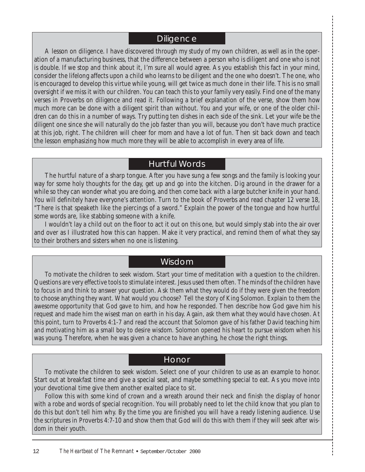#### **Diligence**

A lesson on diligence. I have discovered through my study of my own children, as well as in the operation of a manufacturing business, that the difference between a person who is diligent and one who is not is double. If we stop and think about it, I'm sure all would agree. As you establish this fact in your mind, consider the lifelong affects upon a child who learns to be diligent and the one who doesn't. The one, who is encouraged to develop this virtue while young, will get twice as much done in their life. This is no small oversight if we miss it with our children. You can teach this to your family very easily. Find one of the many verses in Proverbs on diligence and read it. Following a brief explanation of the verse, show them how much more can be done with a diligent spirit than without. You and your wife, or one of the older children can do this in a number of ways. Try putting ten dishes in each side of the sink. Let your wife be the diligent one since she will naturally do the job faster than you will, because you don't have much practice at this job, right. The children will cheer for mom and have a lot of fun. Then sit back down and teach the lesson emphasizing how much more they will be able to accomplish in every area of life.

#### Hurtful Words

The hurtful nature of a sharp tongue. After you have sung a few songs and the family is looking your way for some holy thoughts for the day, get up and go into the kitchen. Dig around in the drawer for a while so they can wonder what you are doing, and then come back with a large butcher knife in your hand. You will definitely have everyone's attention. Turn to the book of Proverbs and read chapter 12 verse 18, "There is that speaketh like the piercings of a sword." Explain the power of the tongue and how hurtful some words are, like stabbing someone with a knife.

I wouldn't lay a child out on the floor to act it out on this one, but would simply stab into the air over and over as I illustrated how this can happen. Make it very practical, and remind them of what they say to their brothers and sisters when no one is listening.

#### Wisdom

To motivate the children to seek wisdom. Start your time of meditation with a question to the children. Questions are very effective tools to stimulate interest. Jesus used them often. The minds of the children have to focus in and think to answer your question. Ask them what they would do if they were given the freedom to choose anything they want. What would you choose? Tell the story of King Solomon. Explain to them the awesome opportunity that God gave to him, and how he responded. Then describe how God gave him his request and made him the wisest man on earth in his day. Again, ask them what they would have chosen. At this point, turn to Proverbs 4:1-7 and read the account that Solomon gave of his father David teaching him and motivating him as a small boy to desire wisdom. Solomon opened his heart to pursue wisdom when his was young. Therefore, when he was given a chance to have anything, he chose the right things.

#### Honor

To motivate the children to seek wisdom. Select one of your children to use as an example to honor. Start out at breakfast time and give a special seat, and maybe something special to eat. As you move into your devotional time give them another exalted place to sit.

Follow this with some kind of crown and a wreath around their neck and finish the display of honor with a robe and words of special recognition. You will probably need to let the child know that you plan to do this but don't tell him why. By the time you are finished you will have a ready listening audience. Use the scriptures in Proverbs 4:7-10 and show them that God will do this with them if they will seek after wisdom in their youth.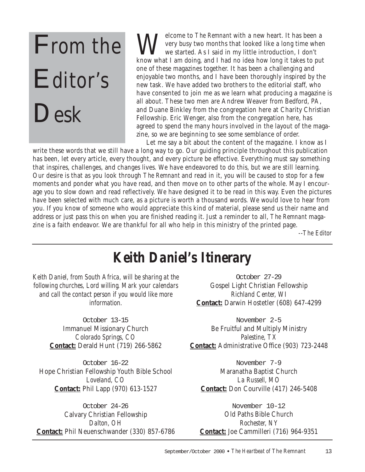# From the Editor's Desk

Welcome to *The Remnant* with a new heart. It has been a<br>we year two months that looked like a long time where<br>we started. As I said in my little introduction, I don't<br>know what I am deing and I had no idea haw long it tak very busy two months that looked like a long time when we started. As I said in my little introduction, I don't know what I am doing, and I had no idea how long it takes to put one of these magazines together. It has been a challenging and enjoyable two months, and I have been thoroughly inspired by the new task. We have added two brothers to the editorial staff, who have consented to join me as we learn what producing a magazine is all about. These two men are Andrew Weaver from Bedford, PA, and Duane Binkley from the congregation here at Charity Christian Fellowship. Eric Wenger, also from the congregation here, has agreed to spend the many hours involved in the layout of the magazine, so we are beginning to see some semblance of order.

Let me say a bit about the content of the magazine. I know as I write these words that we still have a long way to go. Our guiding principle throughout this publication has been, let every article, every thought, and every picture be effective. Everything must say something that inspires, challenges, and changes lives. We have endeavored to do this, but we are still learning. Our desire is that as you look through *The Remnant* and read in it, you will be caused to stop for a few moments and ponder what you have read, and then move on to other parts of the whole. May I encourage you to slow down and read reflectively. We have designed it to be read in this way. Even the pictures have been selected with much care, as a picture is worth a thousand words. We would love to hear from you. If you know of someone who would appreciate this kind of material, please send us their name and address or just pass this on when you are finished reading it. Just a reminder to all, *The Remnant* magazine is a faith endeavor. We are thankful for all who help in this ministry of the printed page.

*--The Editor*

### *Keith Daniel's Itinerary*

*Keith Daniel, from South Africa, will be sharing at the following churches, Lord willing. Mark your calendars and call the contact person if you would like more information.*

> October 13-15 Immanuel Missionary Church *Colorado Springs, CO* **Contact:** Derald Hunt (719) 266-5862

October 16-22 Hope Christian Fellowship Youth Bible School *Loveland, CO* **Contact:** Phil Lapp (970) 613-1527

October 24-26 Calvary Christian Fellowship *Dalton, OH* **Contact:** Phil Neuenschwander (330) 857-6786

October 27-29 Gospel Light Christian Fellowship *Richland Center, WI* **Contact:** Darwin Hostetler (608) 647-4299

November 2-5 Be Fruitful and Multiply Ministry *Palestine, TX* **Contact:** Administrative Office (903) 723-2448

November 7-9 Maranatha Baptist Church *La Russell, MO* **Contact:** Don Courville (417) 246-5408

November 10-12 Old Paths Bible Church *Rochester, NY* **Contact:** Joe Cammilleri (716) 964-9351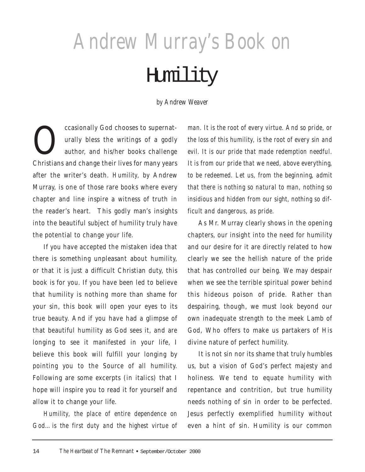## *Andrew Murray's Book on*

## Humility

*by Andrew Weaver*

ccasionally God chooses to supernat-<br>urally bless the writings of a godly<br>author, and his/her books challenge urally bless the writings of a godly author, and his/her books challenge Christians and change their lives for many years after the writer's death. *Humility,* by Andrew Murray, is one of those rare books where every chapter and line inspire a witness of truth in the reader's heart. This godly man's insights into the beautiful subject of humility truly have the potential to change your life.

If you have accepted the mistaken idea that there is something unpleasant about humility, or that it is just a difficult Christian duty, this book is for you. If you have been led to believe that humility is nothing more than shame for your sin, this book will open your eyes to its true beauty. And if you have had a glimpse of that beautiful humility as God sees it, and are longing to see it manifested in your life, I believe this book will fulfill your longing by pointing you to the Source of all humility. Following are some excerpts (in italics) that I hope will inspire you to read it for yourself and allow it to change your life.

*Humility, the place of entire dependence on God…is the first duty and the highest virtue of* *man. It is the root of every virtue. And so pride, or the loss of this humility, is the root of every sin and evil. It is our pride that made redemption needful. It is from our pride that we need, above everything, to be redeemed. Let us, from the beginning, admit that there is nothing so natural to man, nothing so insidious and hidden from our sight, nothing so difficult and dangerous, as pride.*

As Mr. Murray clearly shows in the opening chapters, our insight into the need for humility and our desire for it are directly related to how clearly we see the hellish nature of the pride that has controlled our being. We may despair when we see the terrible spiritual power behind this hideous poison of pride. Rather than despairing, though, we must look beyond our own inadequate strength to the meek Lamb of God, Who offers to make us partakers of His divine nature of perfect humility.

It is not sin nor its shame that truly humbles us, but a vision of God's perfect majesty and holiness. We tend to equate humility with repentance and contrition, but true humility needs nothing of sin in order to be perfected. Jesus perfectly exemplified humility without even a hint of sin. Humility is our common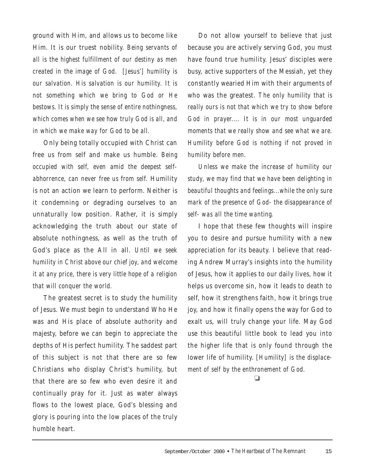ground with Him, and allows us to become like Him. It is our truest nobility. *Being servants of all is the highest fulfillment of our destiny as men created in the image of God. [Jesus'] humility is our salvation. His salvation is our humility. It is not something which we bring to God or He bestows. It is simply the sense of entire nothingness, which comes when we see how truly God is all, and in which we make way for God to be all.*

Only being totally occupied with Christ can free us from self and make us humble. *Being occupied with self, even amid the deepest selfabhorrence, can never free us from self.* Humility is not an action we learn to perform. Neither is it condemning or degrading ourselves to an unnaturally low position. Rather, it is simply acknowledging the truth about our state of absolute nothingness, as well as the truth of God's place as the All in all. *Until we seek humility in Christ above our chief joy, and welcome it at any price, there is very little hope of a religion that will conquer the world.*

The greatest secret is to study the humility of Jesus. We must begin to understand Who He was and His place of absolute authority and majesty, before we can begin to appreciate the depths of His perfect humility. The saddest part of this subject is not that there are so few Christians who display Christ's humility, but that there are so few who even desire it and continually pray for it. Just as water always flows to the lowest place, God's blessing and glory is pouring into the low places of the truly humble heart.

Do not allow yourself to believe that just because you are actively serving God, you must have found true humility. Jesus' disciples were busy, active supporters of the Messiah, yet they constantly wearied Him with their arguments of who was the greatest. *The only humility that is really ours is not that which we try to show before God in prayer.... It is in our most unguarded moments that we really show and see what we are. Humility before God is nothing if not proved in humility before men.* 

*Unless we make the increase of humility our study, we may find that we have been delighting in beautiful thoughts and feelings...while the only sure mark of the presence of God- the disappearance of self- was all the time wanting.*

I hope that these few thoughts will inspire you to desire and pursue humility with a new appreciation for its beauty. I believe that reading Andrew Murray's insights into the humility of Jesus, how it applies to our daily lives, how it helps us overcome sin, how it leads to death to self, how it strengthens faith, how it brings true joy, and how it finally opens the way for God to exalt us, will truly change your life. May God use this beautiful little book to lead you into the higher life that is only found through the lower life of humility. *[Humility] is the displacement of self by the enthronement of God.*

❏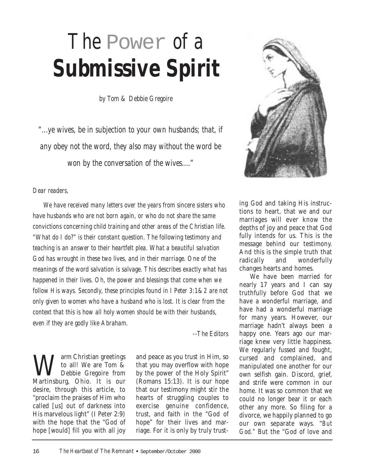## *The* Power *of a Submissive Spirit*

*by Tom & Debbie Gregoire*

*"...ye wives, be in subjection to your own husbands; that, if any obey not the word, they also may without the word be won by the conversation of the wives...."*



#### *Dear readers,*

*We have received many letters over the years from sincere sisters who have husbands who are not born again, or who do not share the same convictions concerning child training and other areas of the Christian life. "What do I do?" is their constant question. The following testimony and teaching is an answer to their heartfelt plea. What a beautiful salvation God has wrought in these two lives, and in their marriage. One of the meanings of the word salvation is salvage. This describes exactly what has happened in their lives. Oh, the power and blessings that come when we follow His ways. Secondly, these principles found in I Peter 3:1&2 are not only given to women who have a husband who is lost. It is clear from the context that this is how all holy women should be with their husbands, even if they are godly like Abraham.*

*--The Editors*

Warm Christian greetings<br>to all! We are Tom &<br>Martinghurg Chien It is our to all! We are Tom & Debbie Gregoire from Martinsburg, Ohio. It is our desire, through this article, to "proclaim the praises of Him who called [us] out of darkness into His marvelous light" (I Peter 2:9) with the hope that the "God of hope [would] fill you with all joy

and peace as you trust in Him, so that you may overflow with hope by the power of the Holy Spirit" (Romans 15:13). It is our hope that our testimony might stir the hearts of struggling couples to exercise genuine confidence, trust, and faith in the "God of hope" for their lives and marriage. For it is only by truly trust-

ing God and taking His instructions to heart, that we and our marriages will ever know the depths of joy and peace that God fully intends for us. This is the message behind our testimony. And this is the simple truth that radically and wonderfully changes hearts and homes.

We have been married for nearly 17 years and I can say truthfully before God that we have a wonderful marriage, and have had a wonderful marriage for many years. However, our marriage hadn't always been a happy one. Years ago our marriage knew very little happiness. We regularly fussed and fought, cursed and complained, and manipulated one another for our own selfish gain. Discord, grief, and strife were common in our home. It was so common that we could no longer bear it or each other any more. So filing for a divorce, we happily planned to go our own separate ways. "*But God."* But the "God of love and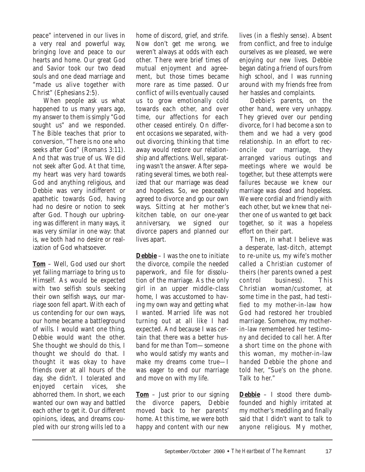peace" intervened in our lives in a very real and powerful way, bringing love and peace to our hearts and home. Our great God and Savior took our two dead souls and one dead marriage and "made us alive together with Christ" (Ephesians 2:5).

When people ask us what happened to us many years ago, my answer to them is simply "God sought us" and we responded. The Bible teaches that prior to conversion, "There is no one who seeks after God" (Romans 3:11). And that was true of us. We did not seek after God. At that time, my heart was very hard towards God and anything religious, and Debbie was very indifferent or apathetic towards God, having had no desire or notion to seek after God. Though our upbringing was different in many ways, it was very similar in one way: that is, we both had no desire or realization of God whatsoever.

**Tom** – Well, God used our short yet failing marriage to bring us to Himself. As would be expected with two selfish souls seeking their own selfish ways, our marriage soon fell apart. With each of us contending for our own ways, our home became a battleground of wills. I would want one thing, Debbie would want the other. She thought we should do this, I thought we should do that. I thought it was okay to have friends over at all hours of the day, she didn't. I tolerated and enjoyed certain vices, she abhorred them. In short, we each wanted our own way and battled each other to get it. Our different opinions, ideas, and dreams coupled with our strong wills led to a home of discord, grief, and strife. Now don't get me wrong, we weren't always at odds with each other. There were brief times of mutual enjoyment and agreement, but those times became more rare as time passed. Our conflict of wills eventually caused us to grow emotionally cold towards each other, and over time, our affections for each other ceased entirely. On different occasions we separated, without divorcing, thinking that time away would restore our relationship and affections. Well, separating wasn't the answer. After separating several times, we both realized that our marriage was dead and hopeless. So, we peaceably agreed to divorce and go our own ways. Sitting at her mother's kitchen table, on our one-year anniversary, we signed our divorce papers and planned our lives apart.

**Debbie** – I was the one to initiate the divorce, compile the needed paperwork, and file for dissolution of the marriage. As the only girl in an upper middle-class home, I was accustomed to having my own way and getting what I wanted. Married life was not turning out at all like I had expected. And because I was certain that there was a better husband for me than Tom—someone who would satisfy my wants and make my dreams come true—I was eager to end our marriage and move on with my life.

**Tom** – Just prior to our signing the divorce papers, Debbie moved back to her parents' home. At this time, we were both happy and content with our new lives (in a fleshly sense). Absent from conflict, and free to indulge ourselves as we pleased, we were enjoying our new lives. Debbie began dating a friend of ours from high school, and I was running around with my friends free from her hassles and complaints.

Debbie's parents, on the other hand, were very unhappy. They grieved over our pending divorce, for I had become a son to them and we had a very good relationship. In an effort to reconcile our marriage, they arranged various outings and meetings where we would be together, but these attempts were failures because we knew our marriage was dead and hopeless. We were cordial and friendly with each other, but we knew that neither one of us wanted to get back together, so it was a hopeless effort on their part.

Then, in what I believe was a desperate, last-ditch, attempt to re-unite us, my wife's mother called a Christian customer of theirs (her parents owned a pest control business). This Christian woman/customer, at some time in the past, had testified to my mother-in-law how God had restored her troubled marriage. Somehow, my motherin-law remembered her testimony and decided to call her. After a short time on the phone with this woman, my mother-in-law handed Debbie the phone and told her, "Sue's on the phone. Talk to her."

**Debbie** – I stood there dumbfounded and highly irritated at my mother's meddling and finally said that I didn't want to talk to anyone religious. My mother,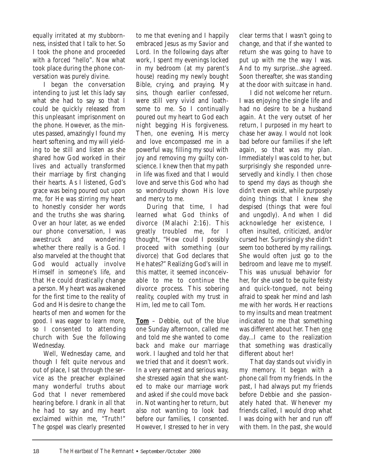equally irritated at my stubbornness, insisted that I talk to her. So I took the phone and proceeded with a forced "hello". Now what took place during the phone conversation was purely divine.

I began the conversation intending to just let this lady say what she had to say so that I could be quickly released from this unpleasant imprisonment on the phone. However, as the minutes passed, amazingly I found my heart softening, and my will yielding to be still and listen as she shared how God worked in their lives and actually transformed their marriage by first changing their hearts. As I listened, God's grace was being poured out upon me, for He was stirring my heart to honestly consider her words and the truths she was sharing. Over an hour later, as we ended our phone conversation, I was awestruck and wondering whether there really is a God. I also marveled at the thought that God would actually involve Himself in someone's life, and that He could drastically change a person. My heart was awakened for the first time to the reality of God and His desire to change the hearts of men and women for the good. I was eager to learn more, so I consented to attending church with Sue the following Wednesday.

Well, Wednesday came, and though I felt quite nervous and out of place, I sat through the service as the preacher explained many wonderful truths about God that I never remembered hearing before. I drank in all that he had to say and my heart exclaimed within me, "Truth!" The gospel was clearly presented

to me that evening and I happily embraced Jesus as my Savior and Lord. In the following days after work, I spent my evenings locked in my bedroom (at my parent's house) reading my newly bought Bible, crying, and praying. My sins, though earlier confessed, were still very vivid and loathsome to me. So I continually poured out my heart to God each night begging His forgiveness. Then, one evening, His mercy and love encompassed me in a powerful way, filling my soul with joy and removing my guilty conscience. I knew then that my path in life was fixed and that I would love and serve this God who had so wondrously shown His love and mercy to me.

During that time, I had learned what God thinks of divorce (Malachi 2:16). This greatly troubled me, for I thought, "How could I possibly proceed with something (our divorce) that God declares that He hates?" Realizing God's will in this matter, it seemed inconceivable to me to continue the divorce process. This sobering reality, coupled with my trust in Him, led me to call Tom.

**Tom** – Debbie, out of the blue one Sunday afternoon, called me and told me she wanted to come back and make our marriage work. I laughed and told her that we tried that and it doesn't work. In a very earnest and serious way, she stressed again that she wanted to make our marriage work and asked if she could move back in. Not wanting her to return, but also not wanting to look bad before our families, I consented. However, I stressed to her in very

clear terms that I wasn't going to change, and that if she wanted to return she was going to have to put up with me the way I was. And to my surprise...she agreed. Soon thereafter, she was standing at the door with suitcase in hand.

I did not welcome her return. I was enjoying the single life and had no desire to be a husband again. At the very outset of her return, I purposed in my heart to chase her away. I would not look bad before our families if she left again, so that was my plan. Immediately I was cold to her, but surprisingly she responded unreservedly and kindly. I then chose to spend my days as though she didn't even exist, while purposely doing things that I knew she despised (things that were foul and ungodly). And when I did acknowledge her existence, I often insulted, criticized, and/or cursed her. Surprisingly she didn't seem too bothered by my railings. She would often just go to the bedroom and leave me to myself. This was unusual behavior for her, for she used to be quite feisty and quick-tongued, not being afraid to speak her mind and lash me with her words. Her reactions to my insults and mean treatment indicated to me that something was different about her. Then one day...I came to the realization that something was drastically different about her!

That day stands out vividly in my memory. It began with a phone call from my friends. In the past, I had always put my friends before Debbie and she passionately hated that. Whenever my friends called, I would drop what I was doing with her and run off with them. In the past, she would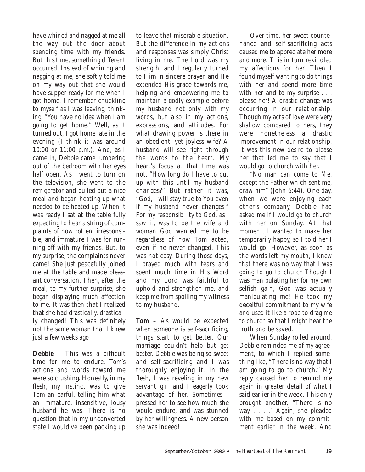have whined and nagged at me all the way out the door about spending time with my friends. But this time, something different occurred. Instead of whining and nagging at me, she softly told me on my way out that she would have supper ready for me when I got home. I remember chuckling to myself as I was leaving, thinking, "You have no idea when I am going to get home." Well, as it turned out, I got home late in the evening (I think it was around 10:00 or 11:00 p.m.). And, as I came in, Debbie came lumbering out of the bedroom with her eyes half open. As I went to turn on the television, she went to the refrigerator and pulled out a nice meal and began heating up what needed to be heated up. When it was ready I sat at the table fully expecting to hear a string of complaints of how rotten, irresponsible, and immature I was for running off with my friends. But, to my surprise, the complaints never came! She just peacefully joined me at the table and made pleasant conversation. Then, after the meal, to my further surprise, she began displaying much affection to me. It was then that I realized that she had drastically, drastically changed! This was definitely not the same woman that I knew just a few weeks ago!

**Debbie** – This was a difficult time for me to endure. Tom's actions and words toward me were so crushing. Honestly, in my flesh, my instinct was to give Tom an earful, telling him what an immature, insensitive, lousy husband he was. There is no question that in my unconverted state I would've been packing up to leave that miserable situation. But the difference in my actions and responses was simply Christ living in me. The Lord was my strength, and I regularly turned to Him in sincere prayer, and He extended His grace towards me, helping and empowering me to maintain a godly example before my husband not only with my words, but also in my actions, expressions, and attitudes. For what drawing power is there in an obedient, yet joyless wife? A husband will see right through the words to the heart. My heart's focus at that time was not, "How long do I have to put up with this until my husband changes?" But rather it was, "God, I will stay true to You even if my husband never changes." For my responsibility to God, as I saw it, was to be the wife and woman God wanted me to be regardless of how Tom acted, even if he never changed. This was not easy. During those days, I prayed much with tears and spent much time in His Word and my Lord was faithful to uphold and strengthen me, and keep me from spoiling my witness to my husband.

**Tom** – As would be expected when someone is self-sacrificing, things start to get better. Our marriage couldn't help but get better. Debbie was being so sweet and self-sacrificing and I was thoroughly enjoying it. In the flesh, I was reveling in my new servant girl and I eagerly took advantage of her. Sometimes I pressed her to see how much she would endure, and was stunned by her willingness. A new person she was indeed!

Over time, her sweet countenance and self-sacrificing acts caused me to appreciate her more and more. This in turn rekindled my affections for her. Then I found myself wanting to do things with her and spend more time with her and to my surprise . . . please her! A drastic change was occurring in our relationship. Though my acts of love were very shallow compared to hers, they were nonetheless a drastic improvement in our relationship. It was this new desire to please her that led me to say that I would go to church with her.

"No man can come to Me, except the Father which sent me, draw him" (John 6:44). One day, when we were enjoying each other's company, Debbie had asked me if I would go to church with her on Sunday. At that moment, I wanted to make her temporarily happy, so I told her I would go. However, as soon as the words left my mouth, I knew that there was no way that I was going to go to church.Though I was manipulating her for my own selfish gain, God was actually manipulating me! He took my deceitful commitment to my wife and used it like a rope to drag me to church so that I might hear the truth and be saved.

When Sunday rolled around, Debbie reminded me of my agreement, to which I replied something like, "There is no way that I am going to go to church." My reply caused her to remind me again in greater detail of what I said earlier in the week. This only brought another, "There is no way . . . ." Again, she pleaded with me based on my commitment earlier in the week. And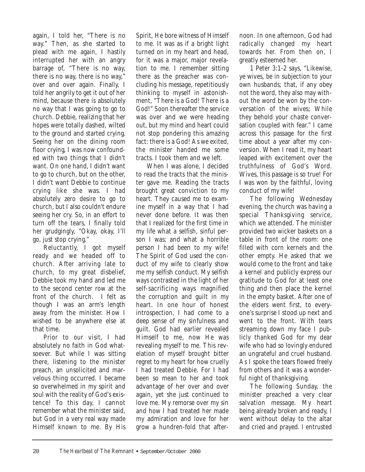again, I told her, "There is no way." Then, as she started to plead with me again, I hastily interrupted her with an angry barrage of, "There is no way, there is no way, there is no way," over and over again. Finally, I told her angrily to get it out of her mind, because there is absolutely no way that I was going to go to church. Debbie, realizing that her hopes were totally dashed, wilted to the ground and started crying. Seeing her on the dining room floor crying, I was now confounded with two things that I didn't want. On one hand, I didn't want to go to church, but on the other, I didn't want Debbie to continue crying like she was. I had absolutely zero desire to go to church, but I also couldn't endure seeing her cry. So, in an effort to turn off the tears, I finally told her grudgingly, "Okay, okay, I'll go, just stop crying."

Reluctantly, I got myself ready and we headed off to church. After arriving late to church, to my great disbelief, Debbie took my hand and led me to the second center row at the front of the church. I felt as though I was an arm's length away from the minister. How I wished to be anywhere else at that time.

Prior to our visit, I had absolutely no faith in God whatsoever. But while I was sitting there, listening to the minister preach, an unsolicited and marvelous thing occurred. I became so overwhelmed in my spirit and soul with the reality of God's existence! To this day, I cannot remember what the minister said, but God in a very real way made Himself known to me. By His

Spirit, He bore witness of Himself to me. It was as if a bright light turned on in my heart and head, for it was a major, major revelation to me. I remember sitting there as the preacher was concluding his message, repetitiously thinking to myself in astonishment, "There is a God! There is a God!" Soon thereafter the service was over and we were heading out, but my mind and heart could not stop pondering this amazing fact: there is a God! As we exited. the minister handed me some tracts. I took them and we left.

When I was alone, I decided to read the tracts that the minister gave me. Reading the tracts brought great conviction to my heart. They caused me to examine myself in a way that I had never done before. It was then that I realized for the first time in my life what a selfish, sinful person I was; and what a horrible person I had been to my wife! The Spirit of God used the conduct of my wife to clearly show me my selfish conduct. My selfish ways contrasted in the light of her self-sacrificing ways magnified the corruption and guilt in my heart. In one hour of honest introspection, I had come to a deep sense of my sinfulness and guilt. God had earlier revealed Himself to me, now He was revealing myself to me. This revelation of myself brought bitter regret to my heart for how cruelly I had treated Debbie. For I had been so mean to her and took advantage of her over and over again, yet she just continued to love me. My remorse over my sin and how I had treated her made my admiration and love for her grow a hundren-fold that after-

noon. In one afternoon, God had radically changed my heart towards her. From then on, I greatly esteemed her.

1 Peter 3:1-2 says, "Likewise, ye wives, be in subjection to your own husbands; that, if any obey not the word, they also may without the word be won by the conversation of the wives; While they behold your chaste conversation coupled with fear." I came across this passage for the first time about a year after my conversion. When I read it, my heart leaped with excitement over the truthfulness of God's Word. Wives, this passage is so true! For I was won by the faithful, loving conduct of my wife!

The following Wednesday evening, the church was having a special Thanksgiving service, which we attended. The minister provided two wicker baskets on a table in front of the room: one filled with corn kernels and the other empty. He asked that we would come to the front and take a kernel and publicly express our gratitude to God for at least one thing and then place the kernel in the empty basket. After one of the elders went first, to everyone's surprise I stood up next and went to the front. With tears streaming down my face I publicly thanked God for my dear wife who had so lovingly endured an ungrateful and cruel husband. As I spoke the tears flowed freely from others and it was a wonderful night of thanksgiving.

The following Sunday, the minister preached a very clear salvation message. My heart being already broken and ready, I went without delay to the altar and cried and prayed. I entrusted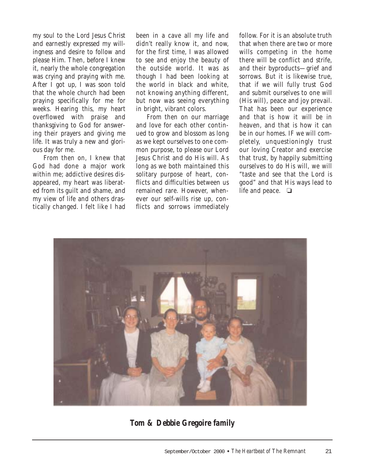my soul to the Lord Jesus Christ and earnestly expressed my willingness and desire to follow and please Him. Then, before I knew it, nearly the whole congregation was crying and praying with me. After I got up, I was soon told that the whole church had been praying specifically for me for weeks. Hearing this, my heart overflowed with praise and thanksgiving to God for answering their prayers and giving me life. It was truly a new and glorious day for me.

From then on, I knew that God had done a major work within me; addictive desires disappeared, my heart was liberated from its guilt and shame, and my view of life and others drastically changed. I felt like I had been in a cave all my life and didn't really know it, and now, for the first time, I was allowed to see and enjoy the beauty of the outside world. It was as though I had been looking at the world in black and white, not knowing anything different, but now was seeing everything in bright, vibrant colors.

From then on our marriage and love for each other continued to grow and blossom as long as we kept ourselves to one common purpose, to please our Lord Jesus Christ and do His will. As long as we both maintained this solitary purpose of heart, conflicts and difficulties between us remained rare. However, whenever our self-wills rise up, conflicts and sorrows immediately

follow. For it is an absolute truth that when there are two or more wills competing in the home there will be conflict and strife, and their byproducts—grief and sorrows. But it is likewise true, that if we will fully trust God and submit ourselves to one will (His will), peace and joy prevail. That has been our experience and that is how it will be in heaven, and that is how it can be in our homes. IF we will completely, unquestioningly trust our loving Creator and exercise that trust, by happily submitting ourselves to do His will, we will "taste and see that the Lord is good" and that His ways lead to life and peace. ❏



*Tom & Debbie Gregoire family*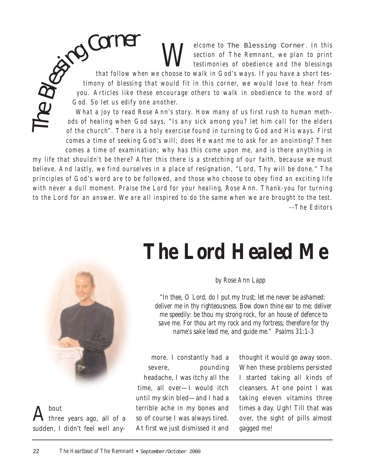*Welcome to* The Blessing Corner. In this section of The Remnant, we plan to print testimonies of obedience and the blessings *section of The Remnant, we plan to print testimonies of obedience and the blessings*

*that follow when we choose to walk in God's ways. If you have a short testimony of blessing that would fit in this corner, we would love to hear from you. Articles like these encourage others to walk in obedience to the word of God. So let us edify one another.* **Corner**<br>that follow wh<br>timony of blessing<br>you. Articles like th

*What a joy to read Rose Ann's story. How many of us first rush to human methods of healing when God says, "Is any sick among you? let him call for the elders of the church". There is a holy exercise found in turning to God and His ways. First comes a time of seeking God's will; does He want me to ask for an anointing? Then comes a time of examination; why has this come upon me, and is there anything in*

*my life that shouldn't be there? After this there is a stretching of our faith, because we must believe. And lastly, we find ourselves in a place of resignation, "Lord, Thy will be done." The principles of God's word are to be followed, and those who choose to obey find an exciting life with never a dull moment. Praise the Lord for your healing, Rose Ann. Thank-you for turning to the Lord for an answer. We are all inspired to do the same when we are brought to the test. --The Editors*

## *The Lord Healed Me*

#### *by Rose Ann Lapp*

*"In thee, O Lord, do I put my trust; let me never be ashamed: deliver me in thy righteousness. Bow down thine ear to me; deliver me speedily: be thou my strong rock, for an house of defence to save me. For thou art my rock and my fortress; therefore for thy name's sake lead me, and guide me." Psalms 31:1-3*

more. I constantly had a severe, pounding headache, I was itchy all the time, all over—I would itch until my skin bled—and I had a terrible ache in my bones and so of course I was always tired. At first we just dismissed it and

thought it would go away soon. When these problems persisted I started taking all kinds of cleansers. At one point I was taking eleven vitamins three times a day. Ugh! Till that was over, the sight of pills almost gagged me!



The

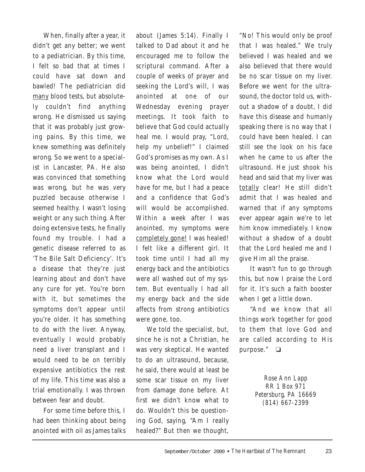When, finally after a year, it didn't get any better; we went to a pediatrician. By this time, I felt so bad that at times I could have sat down and bawled! The pediatrician did many blood tests, but absolutely couldn't find anything wrong. He dismissed us saying that it was probably just growing pains. By this time, we knew something was definitely wrong. So we went to a specialist in Lancaster, PA. He also was convinced that something was wrong, but he was very puzzled because otherwise I seemed healthy. I wasn't losing weight or any such thing. After doing extensive tests, he finally found my trouble. I had a genetic disease referred to as 'The Bile Salt Deficiency'. It's a disease that they're just learning about and don't have any cure for yet. You're born with it, but sometimes the symptoms don't appear until you're older. It has something to do with the liver. Anyway, eventually I would probably need a liver transplant and I would need to be on terribly expensive antibiotics the rest of my life. This time was also a trial emotionally. I was thrown between fear and doubt.

For some time before this, I had been thinking about being anointed with oil as James talks about (James 5:14). Finally I talked to Dad about it and he encouraged me to follow the scriptural command. After a couple of weeks of prayer and seeking the Lord's will, I was anointed at one of our Wednesday evening prayer meetings. It took faith to believe that God could actually heal me. I would pray, "Lord, help my unbelief!" I claimed God's promises as my own. As I was being anointed, I didn't know what the Lord would have for me, but I had a peace and a confidence that God's will would be accomplished. Within a week after I was anointed, my symptoms were completely gone! I was healed! I felt like a different girl. It took time until I had all my energy back and the antibiotics were all washed out of my system. But eventually I had all my energy back and the side affects from strong antibiotics were gone, too.

We told the specialist, but, since he is not a Christian, he was very skeptical. He wanted to do an ultrasound, because, he said, there would at least be some scar tissue on my liver from damage done before. At first we didn't know what to do. Wouldn't this be questioning God, saying, "Am I really healed?" But then we thought,

"No! This would only be proof that I was healed." We truly believed I was healed and we also believed that there would be no scar tissue on my liver. Before we went for the ultrasound, the doctor told us, without a shadow of a doubt, I did have this disease and humanly speaking there is no way that I could have been healed. I can still see the look on his face when he came to us after the ultrasound. He just shook his head and said that my liver was totally clear! He still didn't admit that I was healed and warned that if any symptoms ever appear again we're to let him know immediately. I know without a shadow of a doubt that the Lord healed me and I give Him all the praise.

It wasn't fun to go through this, but now I praise the Lord for it. It's such a faith booster when I get a little down.

"And we know that all things work together for good to them that love God and are called according to His purpose." ❏

> *Rose Ann Lapp RR 1 Box 971 Petersburg, PA 16669 (814) 667-2399*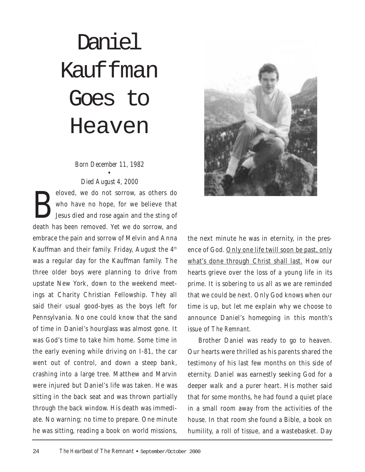#### 24 *The Heartbeat of* The Remnant • September/October 2000

Daniel Kauffman Goes to Heaven

#### *Born December 11, 1982*

• *Died August 4, 2000*

eloved, we do not sorrow, as others do who have no hope, for we believe that Jesus died and rose again and the sting of who have no hope, for we believe that Jesus died and rose again and the sting of death has been removed. Yet we do sorrow, and embrace the pain and sorrow of Melvin and Anna Kauffman and their family. Friday, August the  $4<sup>th</sup>$ was a regular day for the Kauffman family. The three older boys were planning to drive from upstate New York, down to the weekend meetings at Charity Christian Fellowship. They all said their usual good-byes as the boys left for Pennsylvania. No one could know that the sand of time in Daniel's hourglass was almost gone. It was God's time to take him home. Some time in the early evening while driving on I-81, the car went out of control, and down a steep bank, crashing into a large tree. Matthew and Marvin were injured but Daniel's life was taken. He was sitting in the back seat and was thrown partially through the back window. His death was immediate. No warning; no time to prepare. One minute he was sitting, reading a book on world missions,

the next minute he was in eternity, in the presence of God. Only one life twill soon be past, only what's done through Christ shall last. How our hearts grieve over the loss of a young life in its prime. It is sobering to us all as we are reminded that we could be next. Only God knows when our time is up, but let me explain why we choose to announce Daniel's homegoing in this month's issue of *The Remnant*.

Brother Daniel was ready to go to heaven. Our hearts were thrilled as his parents shared the testimony of his last few months on this side of eternity. Daniel was earnestly seeking God for a deeper walk and a purer heart. His mother said that for some months, he had found a quiet place in a small room away from the activities of the house. In that room she found a Bible, a book on humility, a roll of tissue, and a wastebasket. Day

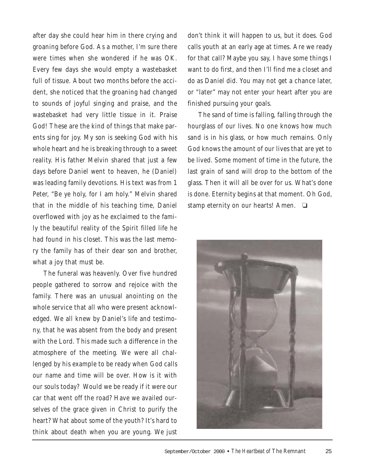after day she could hear him in there crying and groaning before God. As a mother, I'm sure there were times when she wondered if he was OK. Every few days she would empty a wastebasket full of tissue. About two months before the accident, she noticed that the groaning had changed to sounds of joyful singing and praise, and the wastebasket had very little tissue in it. Praise God! These are the kind of things that make parents sing for joy. My son is seeking God with his whole heart and he is breaking through to a sweet reality. His father Melvin shared that just a few days before Daniel went to heaven, he (Daniel) was leading family devotions. His text was from 1 Peter, "Be ye holy, for I am holy." Melvin shared that in the middle of his teaching time, Daniel overflowed with joy as he exclaimed to the family the beautiful reality of the Spirit filled life he had found in his closet. This was the last memory the family has of their dear son and brother, what a joy that must be.

The funeral was heavenly. Over five hundred people gathered to sorrow and rejoice with the family. There was an unusual anointing on the whole service that all who were present acknowledged. We all knew by Daniel's life and testimony, that he was absent from the body and present with the Lord. This made such a difference in the atmosphere of the meeting. We were all challenged by his example to be ready when God calls our name and time will be over. How is it with our souls today? Would we be ready if it were our car that went off the road? Have we availed ourselves of the grace given in Christ to purify the heart? What about some of the youth? It's hard to think about death when you are young. We just don't think it will happen to us, but it does. God calls youth at an early age at times. Are we ready for that call? Maybe you say, I have some things I want to do first, and then I'll find me a closet and do as Daniel did. You may not get a chance later, or "later" may not enter your heart after you are finished pursuing your goals.

The sand of time is falling, falling through the hourglass of our lives. No one knows how much sand is in his glass, or how much remains. Only God knows the amount of our lives that are yet to be lived. Some moment of time in the future, the last grain of sand will drop to the bottom of the glass. Then it will all be over for us. What's done is done. Eternity begins at that moment. Oh God, stamp eternity on our hearts! Amen. ❏

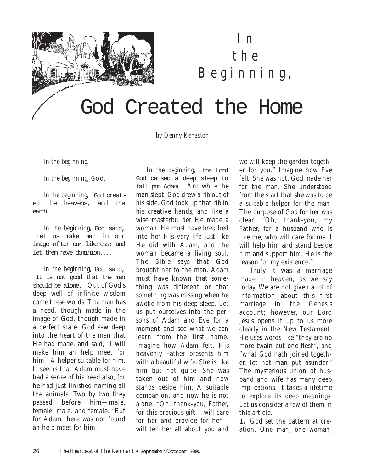

### *In the Beginning,*

## God Created the Home

*by Denny Kenaston*

*In the beginning.*

*In the beginning,* God.

*In the beginning,* God created the heavens, and the earth.

*In the beginning,* God said, Let us make man in our image after our likeness: and let them have dominion....

*In the beginning,* God said, It is not good that the man should be alone. Out of God's deep well of infinite wisdom came these words. The man has a need, though made in the image of God, though made in a perfect state. God saw deep into the heart of the man that He had made, and said, "I will make him an help meet for him." A helper suitable for him. It seems that Adam must have had a sense of his need also, for he had just finished naming all the animals. Two by two they passed before him—male, female, male, and female. "But for Adam there was not found an help meet for him."

*In the beginning,* the Lord God caused a deep sleep to fall upon Adam. And while the man slept, God drew a rib out of his side. God took up that rib in his creative hands, and like a wise masterbuilder He made a woman. He must have breathed into her His very life just like He did with Adam, and the woman became a living soul. The Bible says that God brought her to the man. Adam must have known that something was different or that something was missing when he awoke from his deep sleep. Let us put ourselves into the persons of Adam and Eve for a moment and see what we can learn from the first home. Imagine how Adam felt. His heavenly Father presents him with a beautiful wife. She is like him but not quite. She was taken out of him and now stands beside him. A suitable companion, and now he is not alone. "Oh, thank-you, Father, for this precious gift. I will care for her and provide for her. I will tell her all about you and we will keep the garden together for you." Imagine how Eve felt. She was not. God made her for the man. She understood from the start that she was to be a suitable helper for the man. The purpose of God for her was clear. "Oh, thank-you, my Father, for a husband who is like me, who will care for me. I will help him and stand beside him and support him. He is the reason for my existence."

Truly it was a marriage made in heaven, as we say today. We are not given a lot of information about this first marriage in the Genesis account; however, our Lord Jesus opens it up to us more clearly in the New Testament. He uses words like "they are no more twain but one flesh", and "what God hath joined together, let not man put asunder." The mysterious union of husband and wife has many deep implications. It takes a lifetime to explore its deep meanings. Let us consider a few of them in this article.

**1.** God set the pattern at creation. One man, one woman,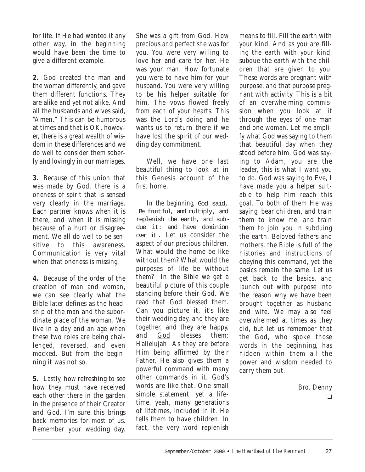for life. If He had wanted it any other way, in the beginning would have been the time to give a different example.

**2.** God created the man and the woman differently, and gave them different functions. They are alike and yet not alike. And all the husbands and wives said, "Amen." This can be humorous at times and that is OK, however, there is a great wealth of wisdom in these differences and we do well to consider them soberly and lovingly in our marriages.

**3.** Because of this union that was made by God, there is a oneness of spirit that is sensed very clearly in the marriage. Each partner knows when it is there, and when it is missing because of a hurt or disagreement. We all do well to be sensitive to this awareness. Communication is very vital when that oneness is missing.

**4.** Because of the order of the creation of man and woman, we can see clearly what the Bible later defines as the headship of the man and the subordinate place of the woman. We live in a day and an age when these two roles are being challenged, reversed, and even mocked. But from the beginning it was not so.

**5.** Lastly, how refreshing to see how they must have received each other there in the garden in the presence of their Creator and God. I'm sure this brings back memories for most of us. Remember your wedding day.

She was a gift from God. How precious and perfect she was for you. You were very willing to love her and care for her. He was your man. How fortunate you were to have him for your husband. You were very willing to be his helper suitable for him. The vows flowed freely from each of your hearts. This was the Lord's doing and he wants us to return there if we have lost the spirit of our wedding day commitment.

Well, we have one last beautiful thing to look at in this Genesis account of the first home.

*In the beginning,* God said, Be fruitful, and multiply, and replenish the earth, and subdue it: and have dominion over it . Let us consider the aspect of our precious children. What would the home be like without them? What would the purposes of life be without them? In the Bible we get a beautiful picture of this couple standing before their God. We read that God blessed them. Can you picture it, it's like their wedding day, and they are together, and they are happy, and God blesses them: Hallelujah! As they are before Him being affirmed by their Father, He also gives them a powerful command with many other commands in it. God's words are like that. One small simple statement, yet a lifetime, yeah, many generations of lifetimes, included in it. He tells them to have children. In fact, the very word replenish

means to fill. Fill the earth with your kind. And as you are filling the earth with your kind, subdue the earth with the children that are given to you. These words are pregnant with purpose, and that purpose pregnant with activity. This is a bit of an overwhelming commission when you look at it through the eyes of one man and one woman. Let me amplify what God was saying to them that beautiful day when they stood before him. God was saying to Adam, you are the leader, this is what I want you to do. God was saying to Eve, I have made you a helper suitable to help him reach this goal. To both of them He was saying, bear children, and train them to know me, and train them to join you in subduing the earth. Beloved fathers and mothers, the Bible is full of the histories and instructions of obeying this command, yet the basics remain the same. Let us get back to the basics, and launch out with purpose into the reason why we have been brought together as husband and wife. We may also feel overwhelmed at times as they did, but let us remember that the God, who spoke those words in the beginning, has hidden within them all the power and wisdom needed to carry them out.

> Bro. Denny ❏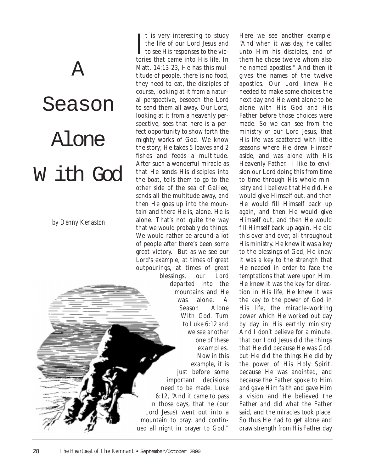# Season Alone W ith God

A

*by Denny Kenaston*

 $\prod$ <sup>t</sup> is very interesting to study<br>the life of our Lord Jesus and<br>to see His responses to the vict is very interesting to study the life of our Lord Jesus and tories that came into His life. In Matt. 14:13-23, He has this multitude of people, there is no food, they need to eat, the disciples of course, looking at it from a natural perspective, beseech the Lord to send them all away. Our Lord, looking at it from a heavenly perspective, sees that here is a perfect opportunity to show forth the mighty works of God. We know the story; He takes 5 loaves and 2 fishes and feeds a multitude. After such a wonderful miracle as that He sends His disciples into the boat, tells them to go to the other side of the sea of Galilee, sends all the multitude away, and then He goes up into the mountain and there He is, alone. He is alone. That's not quite the way that we would probably do things. We would rather be around a lot of people after there's been some great victory. But as we see our Lord's example, at times of great outpourings, at times of great blessings, our Lord departed into the mountains and He was alone. A

Season Alone With God. Turn to Luke 6:12 and we see another one of these examples. Now in this

example, it is just before some important decisions need to be made. Luke 6:12, "And it came to pass in those days, that he (our Lord Jesus) went out into a mountain to pray, and continued all night in prayer to God."

Here we see another example: "And when it was day, he called unto Him his disciples, and of them he chose twelve whom also he named apostles." And then it gives the names of the twelve apostles. Our Lord knew He needed to make some choices the next day and He went alone to be alone with His God and His Father before those choices were made. So we can see from the ministry of our Lord Jesus, that His life was scattered with little seasons where He drew Himself aside, and was alone with His Heavenly Father. I like to envision our Lord doing this from time to time through His whole ministry and I believe that He did. He would give Himself out, and then He would fill Himself back up again, and then He would give Himself out, and then He would fill Himself back up again. He did this over and over, all throughout His ministry. He knew it was a key to the blessings of God, He knew it was a key to the strength that He needed in order to face the temptations that were upon Him, He knew it was the key for direction in His life, He knew it was the key to the power of God in His life, the miracle-working power which He worked out day by day in His earthly ministry. And I don't believe for a minute, that our Lord Jesus did the things that He did because He was God, but He did the things He did by the power of His Holy Spirit, because He was anointed, and because the Father spoke to Him and gave Him faith and gave Him a vision and He believed the Father and did what the Father said, and the miracles took place. So thus He had to get alone and draw strength from His Father day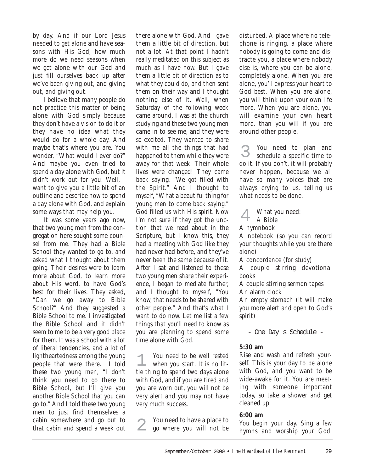by day. And if our Lord Jesus needed to get alone and have seasons with His God, how much more do we need seasons when we get alone with our God and just fill ourselves back up after we've been giving out, and giving out, and giving out.

I believe that many people do not practice this matter of being alone with God simply because they don't have a vision to do it or they have no idea what they would do for a whole day. And maybe that's where you are. You wonder, "What would I ever do?" And maybe you even tried to spend a day alone with God, but it didn't work out for you. Well, I want to give you a little bit of an outline and describe how to spend a day alone with God, and explain some ways that may help you.

It was some years ago now, that two young men from the congregation here sought some counsel from me. They had a Bible School they wanted to go to, and asked what I thought about them going. Their desires were to learn more about God, to learn more about His word, to have God's best for their lives. They asked, "Can we go away to Bible School?" And they suggested a Bible School to me. I investigated the Bible School and it didn't seem to me to be a very good place for them. It was a school with a lot of liberal tendencies, and a lot of lightheartedness among the young people that were there. I told these two young men, "I don't think you need to go there to Bible School, but I'll give you another Bible School that you can go to." And I told these two young men to just find themselves a cabin somewhere and go out to that cabin and spend a week out

there alone with God. And I gave them a little bit of direction, but not a lot. At that point I hadn't really meditated on this subject as much as I have now. But I gave them a little bit of direction as to what they could do, and then sent them on their way and I thought nothing else of it. Well, when Saturday of the following week came around, I was at the church studying and these two young men came in to see me, and they were so excited. They wanted to share with me all the things that had happened to them while they were away for that week. Their whole lives were changed! They came back saying, "We got filled with the Spirit." And I thought to myself, "What a beautiful thing for young men to come back saying." God filled us with His spirit. Now I'm not sure if they got the unction that we read about in the Scripture, but I know this, they had a meeting with God like they had never had before, and they've never been the same because of it. After I sat and listened to these two young men share their experience, I began to mediate further, and I thought to myself, "You know, that needs to be shared with other people." And that's what I want to do now. Let me list a few things that you'll need to know as you are planning to spend some time alone with God.

You need to be well rested when you start. It is no little thing to spend two days alone with God, and if you are tired and you are worn out, you will not be very alert and you may not have very much success. 1

You need to have a place to go where you will not be 2

disturbed. A place where no telephone is ringing, a place where nobody is going to come and distracte you, a place where nobody else is, where you can be alone, completely alone. When you are alone, you'll express your heart to God best. When you are alone, you will think upon your own life more. When you are alone, you will examine your own heart more, than you will if you are around other people.

You need to plan and schedule a specific time to do it. If you don't, it will probably never happen, because we all have so many voices that are always crying to us, telling us what needs to be done. 3

What you need:

A Bible 4

A hymnbook

A notebook (so you can record your thoughts while you are there alone)

A concordance (for study)

A couple stirring devotional books

A couple stirring sermon tapes An alarm clock

An empty stomach (it will make you more alert and open to God's spirit)

- One Day s Schedule -

#### **5:30 am**

Rise and wash and refresh yourself. This is your day to be alone with God, and you want to be wide-awake for it. You are meeting with someone important today, so take a shower and get cleaned up.

#### **6:00 am**

You begin your day. Sing a few hymns and worship your God.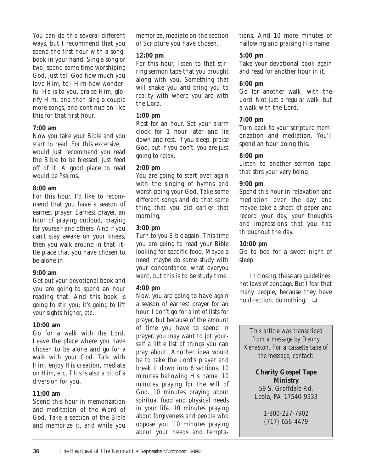You can do this several different ways, but I recommend that you spend the first hour with a songbook in your hand. Sing a song or two, spend some time worshiping God, just tell God how much you love Him, tell Him how wonderful He is to you, praise Him, glorify Him, and then sing a couple more songs, and continue on like this for that first hour.

#### **7:00 am**

Now you take your Bible and you start to read. For this excersize, I would just recommend you read the Bible to be blessed, just feed off of it. A good place to read would be Psalms.

#### **8:00 am**

For this hour, I'd like to recommend that you have a season of earnest prayer. Earnest prayer, an hour of praying outloud, praying for yourself and others. And if you can't stay awake on your knees, then you walk around in that little place that you have chosen to be alone in.

#### **9:00 am**

Get out your devotional book and you are going to spend an hour reading that. And this book is going to stir you; it's going to lift your sights higher, etc.

#### **10:00 am**

Go for a walk with the Lord. Leave the place where you have chosen to be alone and go for a walk with your God. Talk with Him, enjoy His creation, mediate on Him, etc. This is also a bit of a diversion for you.

#### **11:00 am**

Spend this hour in memorization and meditation of the Word of God. Take a section of the Bible and memorize it, and while you memorize, mediate on the section of Scripture you have chosen.

#### **12:00 pm**

For this hour, listen to that stirring sermon tape that you brought along with you. Something that will shake you and bring you to reality with where you are with the Lord.

#### **1:00 pm**

Rest for an hour. Set your alarm clock for 1 hour later and lie down and rest. If you sleep, praise God, but if you don't, you are just going to relax.

#### **2:00 pm**

You are going to start over again with the singing of hymns and worshipping your God. Take some different songs and do that same thing that you did earlier that morning.

#### **3:00 pm**

Turn to you Bible again. This time you are going to read your Bible looking for specific food. Maybe a need, maybe do some study with your concordance, what everyou want, but this is to be study time.

#### **4:00 pm**

Now, you are going to have again a season of earnest prayer for an hour. I don't go for a lot of lists for prayer, but because of the amount of time you have to spend in prayer, you may want to jot yourself a little list of things you can pray about. Another idea would be to take the Lord's prayer and break it down into 6 sections. 10 minutes hallowing His name. 10 minutes praying for the will of God. 10 minutes praying about spiritual food and physical needs in your life. 10 minutes praying about forgiveness and people who oppose you. 10 minutes praying about your needs and temptations. And 10 more minutes of hallowing and praising His name.

#### **5:00 pm**

Take your devotional book again and read for another hour in it.

#### **6:00 pm**

Go for another walk, with the Lord. Not just a regular walk, but a walk with the Lord.

#### **7:00 pm**

Turn back to your scripture memorization and mediation. You'll spend an hour doing this.

#### **8:00 pm**

Listen to another sermon tape, that stirs your very being.

#### **9:00 pm**

Spend this hour in relaxation and mediation over the day and maybe take a sheet of paper and record your day, your thoughts and impressions that you had throughout the day.

#### **10:00 pm**

Go to bed for a sweet night of sleep.

In closing, these are guidelines, not laws of bondage. But I fear that many people, because they have no direction, do nothing. ❏

*This article was transcribed from a message by Denny Kenaston. For a cassette tape of the message, contact:*

> **Charity Gospel Tape Ministry** 59 S. Groffdale Rd. Leola, PA 17540-9533

> > 1-800-227-7902 (717) 656-4479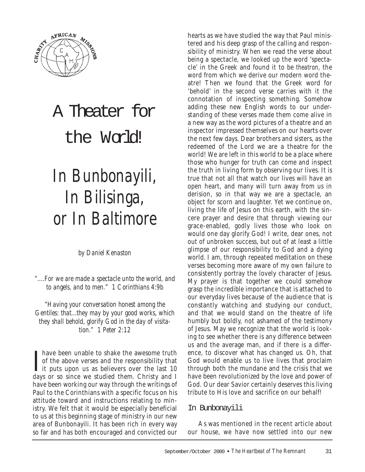

## A Theater for the World!

## *In Bunbonayili, In Bilisinga, or In Baltimore*

*by Daniel Kenaston*

*"....For we are made a spectacle unto the world, and to angels, and to men." 1 Corinthians 4:9b*

*"Having your conversation honest among the Gentiles: that...they may by your good works, which they shall behold, glorify God in the day of visitation." 1 Peter 2:12*

Thave been unable to shake the awesome truth<br>of the above verses and the responsibility that<br>it puts upon us as believers over the last 10<br>days or so since we studied them. Christy and I have been unable to shake the awesome truth of the above verses and the responsibility that days or so since we studied them. Christy and I have been working our way through the writings of Paul to the Corinthians with a specific focus on his attitude toward and instructions relating to ministry. We felt that it would be especially beneficial to us at this beginning stage of ministry in our new area of Bunbonayili. It has been rich in every way so far and has both encouraged and convicted our

hearts as we have studied the way that Paul ministered and his deep grasp of the calling and responsibility of ministry. When we read the verse about being a spectacle, we looked up the word 'spectacle' in the Greek and found it to be *theatron,* the word from which we derive our modern word theatre! Then we found that the Greek word for 'behold' in the second verse carries with it the connotation of inspecting something. Somehow adding these new English words to our understanding of these verses made them come alive in a new way as the word pictures of a theatre and an inspector impressed themselves on our hearts over the next few days. Dear brothers and sisters, as the redeemed of the Lord we are a theatre for the world! We are left in this world to be a place where those who hunger for truth can come and inspect the truth in living form by observing our lives. It is true that not all that watch our lives will have an open heart, and many will turn away from us in derision, so in that way we are a spectacle, an object for scorn and laughter. Yet we continue on, living the life of Jesus on this earth, with the sincere prayer and desire that through viewing our grace-enabled, godly lives those who look on would one day glorify God! I write, dear ones, not out of unbroken success, but out of at least a little glimpse of our responsibility to God and a dying world. I am, through repeated meditation on these verses becoming more aware of my own failure to consistently portray the lovely character of Jesus. My prayer is that together we could somehow grasp the incredible importance that is attached to our everyday lives because of the audience that is constantly watching and studying our conduct, and that we would stand on the theatre of life humbly but boldly, not ashamed of the testimony of Jesus. May we recognize that the world is looking to see whether there is any difference between us and the average man, and if there is a difference, to discover what has changed us. Oh, that God would enable us to live lives that proclaim through both the mundane and the crisis that we have been revolutionized by the love and power of God. Our dear Savior certainly deserves this living tribute to His love and sacrifice on our behalf!

#### In Bunbonayili

As was mentioned in the recent article about our house, we have now settled into our new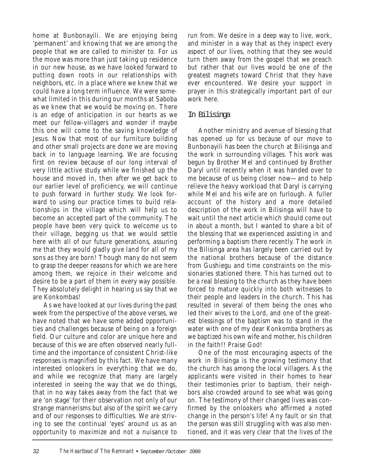home at Bunbonayili. We are enjoying being 'permanent' and knowing that we are among the people that we are called to minister to. For us the move was more than just taking up residence in our new house, as we have looked forward to putting down roots in our relationships with neighbors, etc. in a place where we knew that we could have a long term influence. We were somewhat limited in this during our months at Saboba as we knew that we would be moving on. There is an edge of anticipation in our hearts as we meet our fellow-villagers and wonder if maybe this one will come to the saving knowledge of Jesus. Now that most of our furniture building and other small projects are done we are moving back in to language learning. We are focusing first on review because of our long interval of very little active study while we finished up the house and moved in, then after we get back to our earlier level of proficiency, we will continue to push forward in further study. We look forward to using our practice times to build relationships in the village which will help us to become an accepted part of the community. The people have been very quick to welcome us to their village, begging us that we would settle here with all of our future generations, assuring me that they would gladly give land for all of my sons as they are born! Though many do not seem to grasp the deeper reasons for which we are here among them, we rejoice in their welcome and desire to be a part of them in every way possible. They absolutely delight in hearing us say that we are Konkombas!

As we have looked at our lives during the past week from the perspective of the above verses, we have noted that we have some added opportunities and challenges because of being on a foreign field. Our culture and color are unique here and because of this we are often observed nearly fulltime and the importance of consistent Christ-like responses is magnified by this fact. We have many interested onlookers in everything that we do, and while we recognize that many are largely interested in seeing the way that we do things, that in no way takes away from the fact that we are 'on stage' for their observation not only of our strange mannerisms but also of the spirit we carry and of our responses to difficulties. We are striving to see the continual 'eyes' around us as an opportunity to maximize and not a nuisance to

run from. We desire in a deep way to live, work, and minister in a way that as they inspect every aspect of our lives, nothing that they see would turn them away from the gospel that we preach but rather that our lives would be one of the greatest magnets toward Christ that they have ever encountered. We desire your support in prayer in this strategically important part of our work here.

#### In Bilisinga

Another ministry and avenue of blessing that has opened up for us because of our move to Bunbonayili has been the church at Bilisinga and the work in surrounding villages. This work was begun by Brother Mel and continued by Brother Daryl until recently when it was handed over to me because of us being closer now—and to help relieve the heavy workload that Daryl is carrying while Mel and his wife are on furlough. A fuller account of the history and a more detailed description of the work in Bilisinga will have to wait until the next article which should come out in about a month, but I wanted to share a bit of the blessing that we experienced assisting in and performing a baptism there recently. The work in the Bilisinga area has largely been carried out by the national brothers because of the distance from Gushiegu and time constraints on the missionaries stationed there. This has turned out to be a real blessing to the church as they have been forced to mature quickly into both witnesses to their people and leaders in the church. This has resulted in several of them being the ones who led their wives to the Lord, and one of the greatest blessings of the baptism was to stand in the water with one of my dear Konkomba brothers as we baptized his own wife and mother, his children in the faith!! Praise God!

One of the most encouraging aspects of the work in Bilisinga is the growing testimony that the church has among the local villagers. As the applicants were visited in their homes to hear their testimonies prior to baptism, their neighbors also crowded around to see what was going on. The testimony of their changed lives was confirmed by the onlookers who affirmed a noted change in the person's life! Any fault or sin that the person was still struggling with was also mentioned, and it was very clear that the lives of the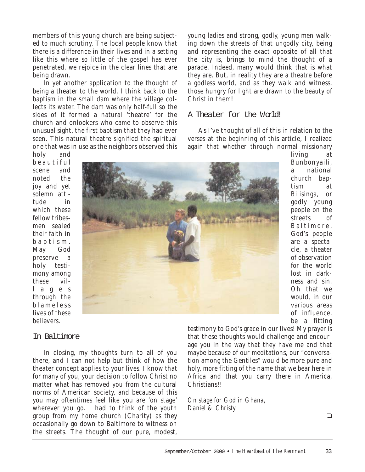members of this young church are being subjected to much scrutiny. The local people know that there is a difference in their lives and in a setting like this where so little of the gospel has ever penetrated, we rejoice in the clear lines that are being drawn.

In yet another application to the thought of being a theater to the world, I think back to the baptism in the small dam where the village collects its water. The dam was only half-full so the sides of it formed a natural 'theatre' for the church and onlookers who came to observe this unusual sight, the first baptism that they had ever seen. This natural theatre signified the spiritual one that was in use as the neighbors observed this

In closing, my thoughts turn to all of you there, and I can not help but think of how the theater concept applies to your lives. I know that for many of you, your decision to follow Christ no matter what has removed you from the cultural norms of American society, and because of this you may oftentimes feel like you are 'on stage' wherever you go. I had to think of the youth group from my home church (Charity) as they occasionally go down to Baltimore to witness on the streets. The thought of our pure, modest,

young ladies and strong, godly, young men walking down the streets of that ungodly city, being and representing the exact opposite of all that the city is, brings to mind the thought of a parade. Indeed, many would think that is what they are. But, in reality they are a theatre before a godless world, and as they walk and witness, those hungry for light are drawn to the beauty of Christ in them!

#### A Theater for the World!

As I've thought of all of this in relation to the verses at the beginning of this article, I realized again that whether through normal missionary

holy and beautiful scene and noted the joy and yet solemn attitude in which these fellow tribesmen sealed their faith in baptism. May God preserve a holy testimony among these vill a g e s through the blameless lives of these believers.

In Baltimore



living at Bunbonyaili, a national church baptism at Bilisinga, or godly young people on the streets of Baltimore, God's people are a spectacle, a theater of observation for the world lost in darkness and sin. Oh that we would, in our various areas of influence, be a fitting

testimony to God's grace in our lives! My prayer is that these thoughts would challenge and encourage you in the way that they have me and that maybe because of our meditations, our "conversation among the Gentiles" would be more pure and holy, more fitting of the name that we bear here in Africa and that you carry there in America, Christians!!

*On stage for God in Ghana, Daniel & Christy*

#### $\Box$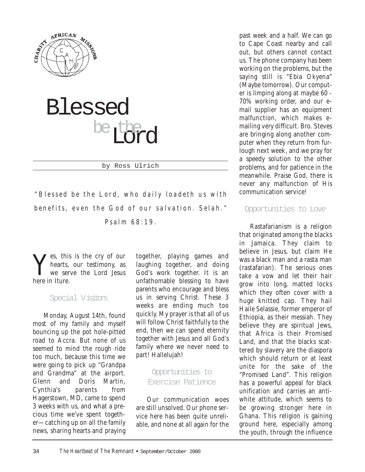



by Ross Ulrich

*"Blessed be the Lord, who daily loadeth us with benefits, even the God of our salvation. Selah." Psalm 68:19.*

Yes, this is the cry of our<br>hearts, our testimony, as<br>we serve the Lord Jesus hearts, our testimony, as we serve the Lord Jesus here in Iture.

#### Special Visitors

Monday, August 14th, found most of my family and myself bouncing up the pot hole-pitted road to Accra. But none of us seemed to mind the rough ride too much, because this time we were going to pick up "Grandpa and Grandma" at the airport. Glenn and Doris Martin, Cynthia's parents from Hagerstown, MD, came to spend 3 weeks with us, and what a precious time we've spent together—catching up on all the family news, sharing hearts and praying together, playing games and laughing together, and doing God's work together. It is an unfathomable blessing to have parents who encourage and bless us in serving Christ. These 3 weeks are ending much too quickly. My prayer is that all of us will follow Christ faithfully to the end, then we can spend eternity together with Jesus and all God's family where we never need to part! Hallelujah!

#### Opportunities to Exercise Patience

Our communication woes are still unsolved. Our phone service here has been quite unreliable, and none at all again for the

past week and a half. We can go to Cape Coast nearby and call out, but others cannot contact us. The phone company has been working on the problems, but the saying still is "Ebia Okyena" (Maybe tomorrow). Our computer is limping along at maybe 60 - 70% working order, and our email supplier has an equipment malfunction, which makes emailing very difficult. Bro. Steves are bringing along another computer when they return from furlough next week, and we pray for a speedy solution to the other problems, and for patience in the meanwhile. Praise God, there is never any malfunction of His communication service!

#### Opportunities to Love

Rastafarianism is a religion that originated among the blacks in Jamaica. They claim to believe in Jesus, but claim He was a black man and a rasta man (rastafarian). The serious ones take a vow and let their hair grow into long, matted locks which they often cover with a huge knitted cap. They hail Haile Selassie, former emperor of Ethiopia, as their messiah. They believe they are spiritual Jews, that Africa is their Promised Land, and that the blacks scattered by slavery are the diaspora which should return or at least unite for the sake of the "Promised Land". This religion has a powerful appeal for black unification and carries an antiwhite attitude, which seems to be growing stronger here in Ghana. This religion is gaining ground here, especially among the youth, through the influence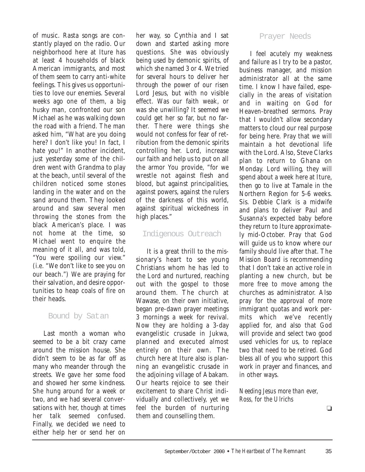of music. Rasta songs are constantly played on the radio. Our neighborhood here at Iture has at least 4 households of black American immigrants, and most of them seem to carry anti-white feelings. This gives us opportunities to love our enemies. Several weeks ago one of them, a big husky man, confronted our son Michael as he was walking down the road with a friend. The man asked him, "What are you doing here? I don't like you! In fact, I hate you!" In another incident, just yesterday some of the children went with Grandma to play at the beach, until several of the children noticed some stones landing in the water and on the sand around them. They looked around and saw several men throwing the stones from the black American's place. I was not home at the time, so Michael went to enquire the meaning of it all, and was told, "You were spoiling our view." (i.e. "We don't like to see you on our beach.") We are praying for their salvation, and desire opportunities to heap coals of fire on their heads.

#### Bound by Satan

Last month a woman who seemed to be a bit crazy came around the mission house. She didn't seem to be as far off as many who meander through the streets. We gave her some food and showed her some kindness. She hung around for a week or two, and we had several conversations with her, though at times her talk seemed confused. Finally, we decided we need to either help her or send her on her way, so Cynthia and I sat down and started asking more questions. She was obviously being used by demonic spirits, of which she named 3 or 4. We tried for several hours to deliver her through the power of our risen Lord Jesus, but with no visible effect. Was our faith weak, or was she unwilling? It seemed we could get her so far, but no farther. There were things she would not confess for fear of retribution from the demonic spirits controlling her. Lord, increase our faith and help us to put on all the armor You provide, "for we wrestle not against flesh and blood, but against principalities, against powers, against the rulers of the darkness of this world, against spiritual wickedness in high places."

#### Indigenous Outreach

It is a great thrill to the missionary's heart to see young Christians whom he has led to the Lord and nurtured, reaching out with the gospel to those around them. The church at Wawase, on their own initiative, began pre-dawn prayer meetings 3 mornings a week for revival. Now they are holding a 3-day evangelistic crusade in Jukwa, planned and executed almost entirely on their own. The church here at Iture also is planning an evangelistic crusade in the adjoining village of Abakam. Our hearts rejoice to see their excitement to share Christ individually and collectively, yet we feel the burden of nurturing them and counselling them.

#### Prayer Needs

I feel acutely my weakness and failure as I try to be a pastor, business manager, and mission administrator all at the same time. I know I have failed, especially in the areas of visitation and in waiting on God for Heaven-breathed sermons. Pray that I wouldn't allow secondary matters to cloud our real purpose for being here. Pray that we will maintain a hot devotional life with the Lord. Also, Steve Clarks plan to return to Ghana on Monday. Lord willing, they will spend about a week here at Iture, then go to live at Tamale in the Northern Region for 5-6 weeks. Sis. Debbie Clark is a midwife and plans to deliver Paul and Susanna's expected baby before they return to Iture approximately mid-October. Pray that God will guide us to know where our family should live after that. The Mission Board is recommending that I don't take an active role in planting a new church, but be more free to move among the churches as administrator. Also pray for the approval of more immigrant quotas and work permits which we've recently applied for, and also that God will provide and select two good used vehicles for us, to replace two that need to be retired. God bless all of you who support this work in prayer and finances, and in other ways.

*Needing Jesus more than ever, Ross, for the Ulrichs*